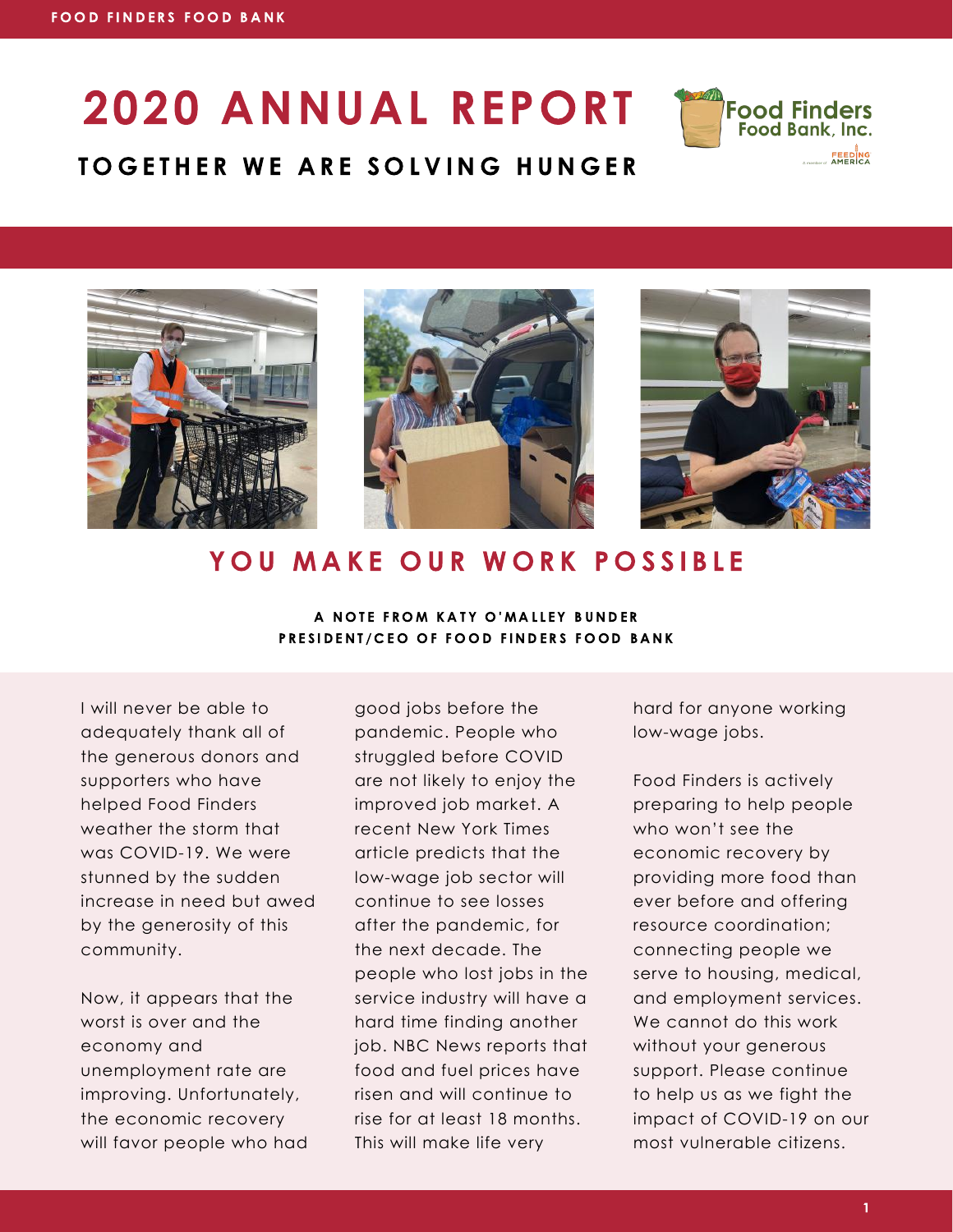# 2020 ANNUAL REPORT











### YOU MAKE OUR WORK POSSIBLE

A NOTE FROM KATY O'MALLEY BUNDER PRESIDENT/CEO OF FOOD FINDERS FOOD BANK

I will never be able to adequately thank all of the generous donors and supporters who have helped Food Finders weather the storm that was COVID-19. We were stunned by the sudden increase in need but awed by the generosity of this community.

Now, it appears that the worst is over and the economy and unemployment rate are improving. Unfortunately, the economic recovery will favor people who had

good jobs before the pandemic. People who struggled before COVID are not likely to enjoy the improved job market. A recent New York Times article predicts that the low-wage job sector will continue to see losses after the pandemic, for the next decade. The people who lost jobs in the service industry will have a hard time finding another job. NBC News reports that food and fuel prices have risen and will continue to rise for at least 18 months. This will make life very

hard for anyone working low-wage jobs.

Food Finders is actively preparing to help people who won't see the economic recovery by providing more food than ever before and offering resource coordination; connecting people we serve to housing, medical, and employment services. We cannot do this work without your generous support. Please continue to help us as we fight the impact of COVID-19 on our most vulnerable citizens.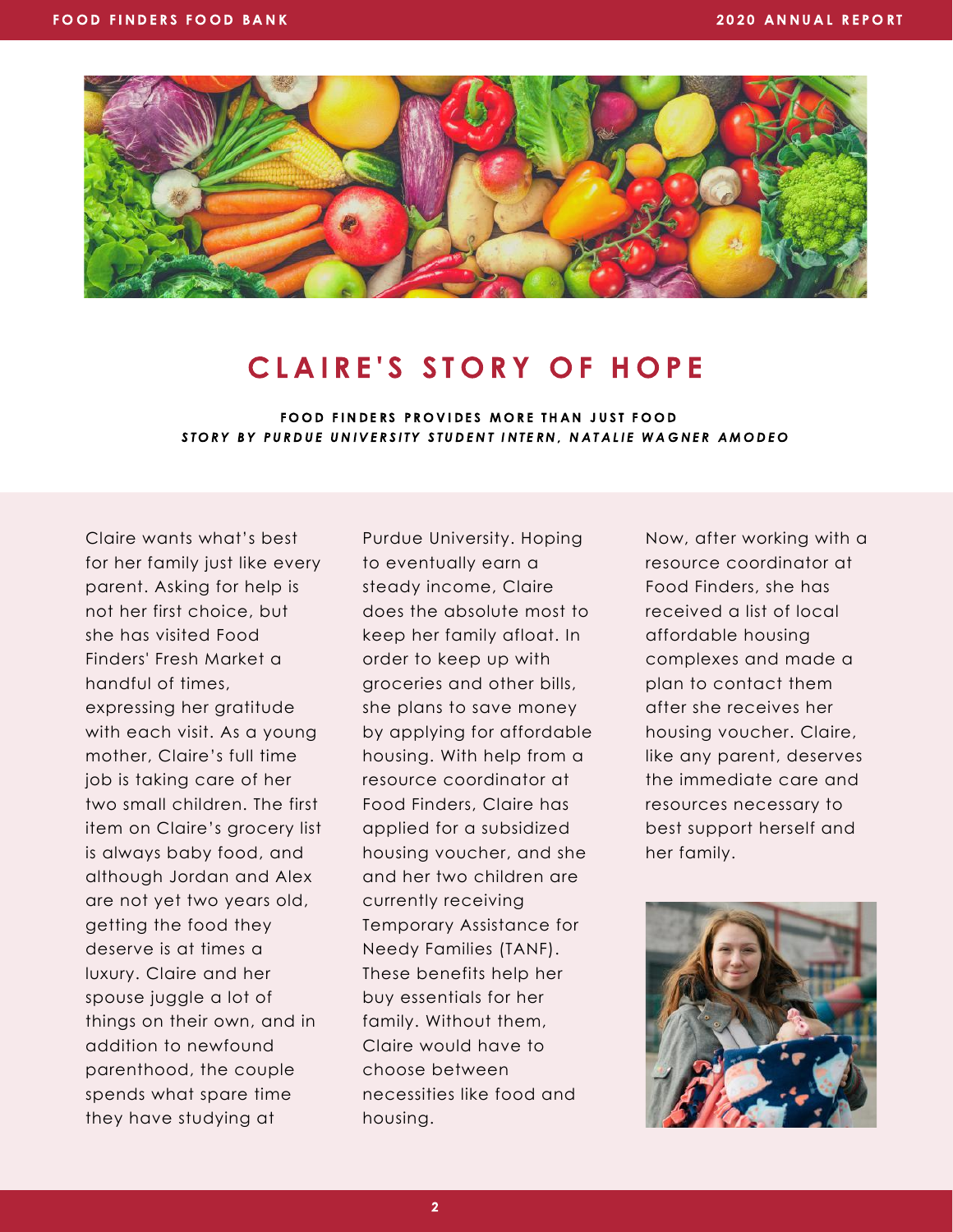

### CLAIRE'S STORY OF HOPE

FOOD FINDERS PROVIDES MORE THAN JUST FOOD STORY BY PURDUE UNIVERSITY STUDENT INTERN, NATALIE WAGNER AMODEO

Claire wants what's best for her family just like every parent. Asking for help is not her first choice, but she has visited Food Finders' Fresh Market a handful of times, expressing her gratitude with each visit. As a young mother, Claire's full time job is taking care of her two small children. The first item on Claire's grocery list is always baby food, and although Jordan and Alex are not yet two years old, getting the food they deserve is at times a luxury. Claire and her spouse juggle a lot of things on their own, and in addition to newfound parenthood, the couple spends what spare time they have studying at

Purdue University. Hoping to eventually earn a steady income, Claire does the absolute most to keep her family afloat. In order to keep up with groceries and other bills, she plans to save money by applying for affordable housing. With help from a resource coordinator at Food Finders, Claire has applied for a subsidized housing voucher, and she and her two children are currently receiving Temporary Assistance for Needy Families (TANF). These benefits help her buy essentials for her family. Without them, Claire would have to choose between necessities like food and housing.

Now, after working with a resource coordinator at Food Finders, she has received a list of local affordable housing complexes and made a plan to contact them after she receives her housing voucher. Claire, like any parent, deserves the immediate care and resources necessary to best support herself and her family.

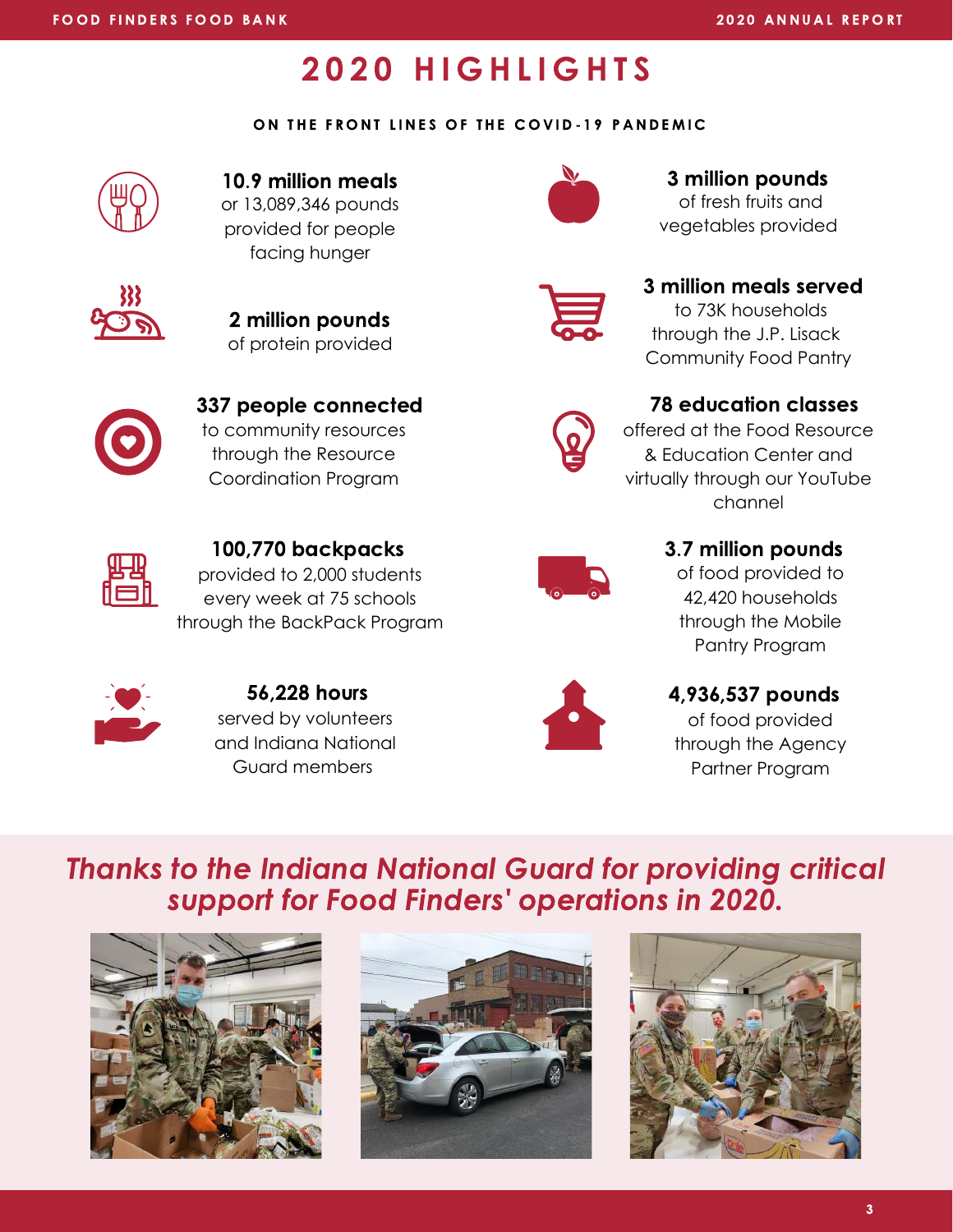### **2020 HIGHLIGHTS**

#### ON THE FRONT LINES OF THE COVID-19 PANDEMIC



or 13,089,346 pounds provided for people facing hunger



of protein provided 2 million pounds



to community resources through the Resource Coordination Program



provided to 2,000 students every week at 75 schools through the BackPack Program



of fresh fruits and 10.9 million meals **10.9 million pounds** 

vegetables provided



### 3 million meals served

to 73K households through the J.P. Lisack Community Food Pantry



offered at the Food Resource & Education Center and virtually through our YouTube channel



#### 100,770 backpacks 3.7 million pounds

of food provided to 42,420 households through the Mobile Pantry Program



served by volunteers and Indiana National Guard members 56,228 hours



#### 4,936,537 pounds

of food provided through the Agency Partner Program

Thanks to the Indiana National Guard for providing critical support for Food Finders' operations in 2020.





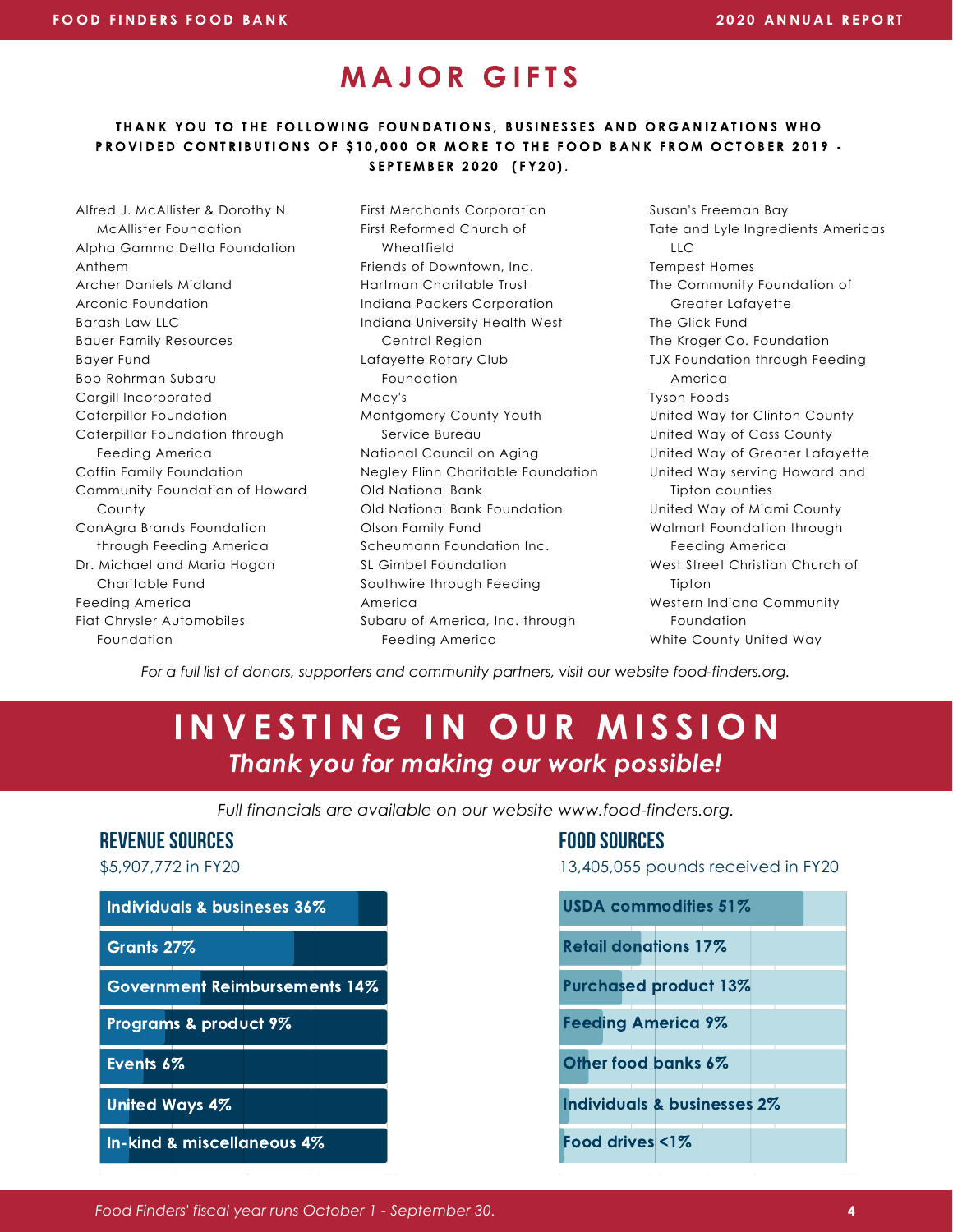### MAJOR GIFTS

#### THANK YOU TO THE FOLLOWING FOUNDATIONS, BUSINESSES AND ORGANIZATIONS WHO PROVIDED CONTRIBUTIONS OF \$10,000 OR MORE TO THE FOOD BANK FROM OCTOBER 2019 -SEPTEMBER 2020 (FY20).

Alfred J. McAllister & Dorothy N. McAllister Foundation Alpha Gamma Delta Foundation Anthem Archer Daniels Midland Arconic Foundation Barash Law LLC Bauer Family Resources Bayer Fund Bob Rohrman Subaru Cargill Incorporated Caterpillar Foundation Caterpillar Foundation through Feeding America Coffin Family Foundation Community Foundation of Howard County ConAgra Brands Foundation through Feeding America Dr. Michael and Maria Hogan Charitable Fund Feeding America Fiat Chrysler Automobiles Foundation

First Merchants Corporation First Reformed Church of Wheatfield Friends of Downtown, Inc. Hartman Charitable Trust Indiana Packers Corporation Indiana University Health West Central Region Lafayette Rotary Club Foundation Macy's Montgomery County Youth Service Bureau National Council on Aging Negley Flinn Charitable Foundation Old National Bank Old National Bank Foundation Olson Family Fund Scheumann Foundation Inc. SL Gimbel Foundation Southwire through Feeding America Subaru of America, Inc. through Feeding America

Susan's Freeman Bay Tate and Lyle Ingredients Americas LLC Tempest Homes The Community Foundation of Greater Lafayette The Glick Fund The Kroger Co. Foundation TJX Foundation through Feeding America Tyson Foods United Way for Clinton County United Way of Cass County United Way of Greater Lafayette United Way serving Howard and Tipton counties United Way of Miami County Walmart Foundation through Feeding America West Street Christian Church of Tipton Western Indiana Community Foundation White County United Way

*For a full list of donors, supporters and community partners, visit our website food-finders.org.*

### INVESTING IN OUR MISSION Thank you for making our work possible!

*Full financials are available on our website www.food-finders.org.*

#### REVENUE SOURCES FOOD SOURCES



\$5,907,772 in FY20 13,405,055 pounds received in FY20

| USDA commodities 51%                   |
|----------------------------------------|
| <b>Retail donations 17%</b>            |
| <b>Purchased product 13%</b>           |
| <b>Feeding America 9%</b>              |
| Other food banks 6%                    |
| <b>Individuals &amp; businesses 2%</b> |
| Food drives $\leq 1\%$                 |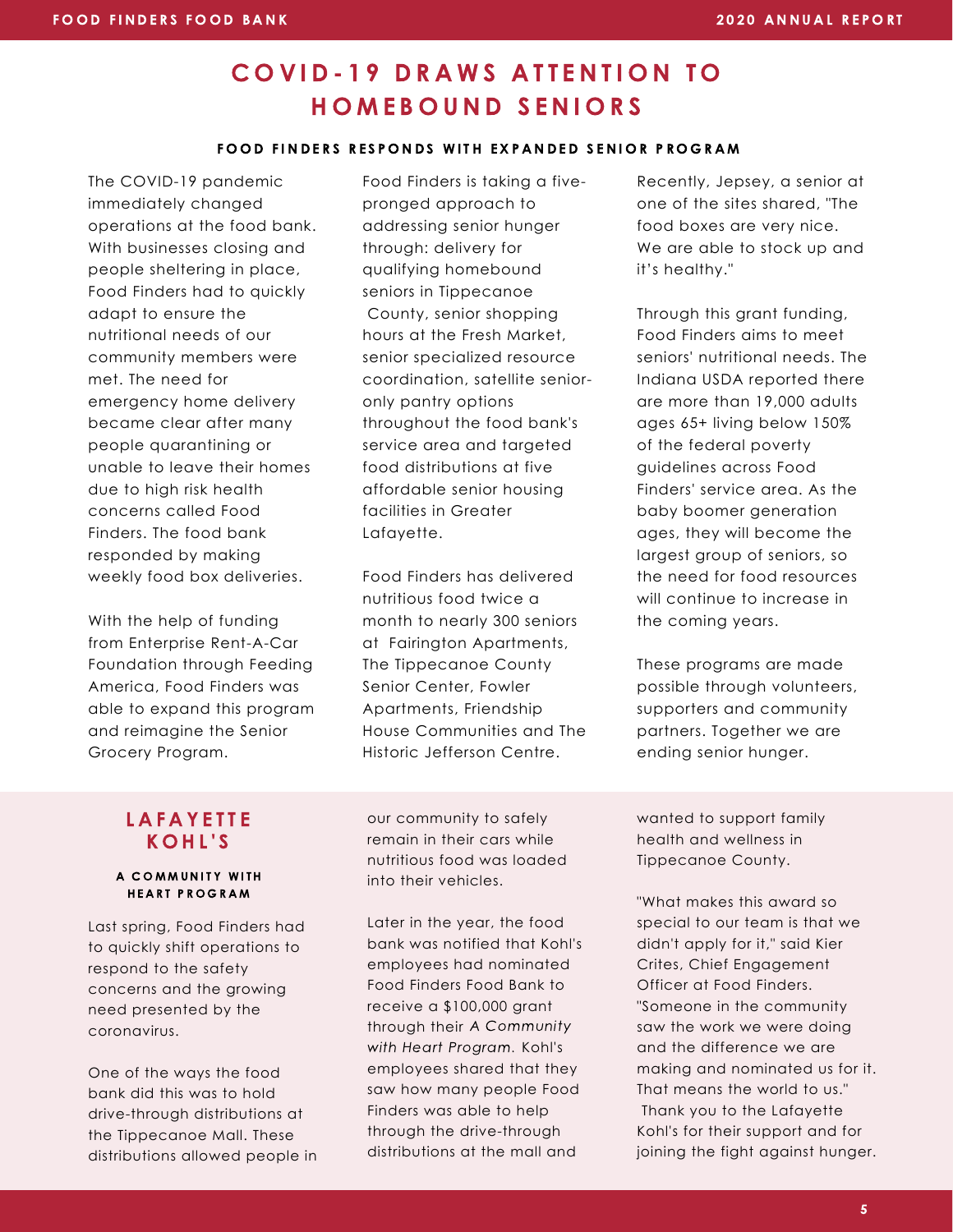### COVID-19 DRAWS ATTENTION TO H O M E B O U N D S E N I O R S

#### FOOD FINDERS RESPONDS WITH EXPANDED SENIOR PROGRAM

The COVID-19 pandemic immediately changed operations at the food bank. With businesses closing and people sheltering in place, Food Finders had to quickly adapt to ensure the nutritional needs of our community members were met. The need for emergency home delivery became clear after many people quarantining or unable to leave their homes due to high risk health concerns called Food Finders. The food bank responded by making weekly food box deliveries.

With the help of funding from Enterprise Rent-A-Car Foundation through Feeding America, Food Finders was able to expand this program and reimagine the Senior Grocery Program.

Food Finders is taking a fivepronged approach to addressing senior hunger through: delivery for qualifying homebound seniors in Tippecanoe County, senior shopping hours at the Fresh Market, senior specialized resource coordination, satellite senioronly pantry options throughout the food bank's service area and targeted food distributions at five affordable senior housing facilities in Greater Lafayette.

Food Finders has delivered nutritious food twice a month to nearly 300 seniors at Fairington Apartments, The Tippecanoe County Senior Center, Fowler Apartments, Friendship House Communities and The Historic Jefferson Centre.

Recently, Jepsey, a senior at one of the sites shared, "The food boxes are very nice. We are able to stock up and it's healthy."

Through this grant funding, Food Finders aims to meet seniors' nutritional needs. The Indiana USDA reported there are more than 19,000 adults ages 65+ living below 150% of the federal poverty guidelines across Food Finders' service area. As the baby boomer generation ages, they will become the largest group of seniors, so the need for food resources will continue to increase in the coming years.

These programs are made possible through volunteers, supporters and community partners. Together we are ending senior hunger.

#### **LAFAYETTE** K O H L ' S

#### A COMMUNITY WITH HEART PROGRAM

Last spring, Food Finders had to quickly shift operations to respond to the safety concerns and the growing need presented by the coronavirus.

One of the ways the food bank did this was to hold drive-through distributions at the Tippecanoe Mall. These distributions allowed people in our community to safely remain in their cars while nutritious food was loaded into their vehicles.

Later in the year, the food bank was notified that Kohl's employees had nominated Food Finders Food Bank to receive a \$100,000 grant through their A Community with Heart Program. Kohl's employees shared that they saw how many people Food Finders was able to help through the drive-through distributions at the mall and

wanted to support family health and wellness in Tippecanoe County.

"What makes this award so special to our team is that we didn't apply for it," said Kier Crites, Chief Engagement Officer at Food Finders. "Someone in the community saw the work we were doing and the difference we are making and nominated us for it. That means the world to us." Thank you to the Lafayette Kohl's for their support and for joining the fight against hunger.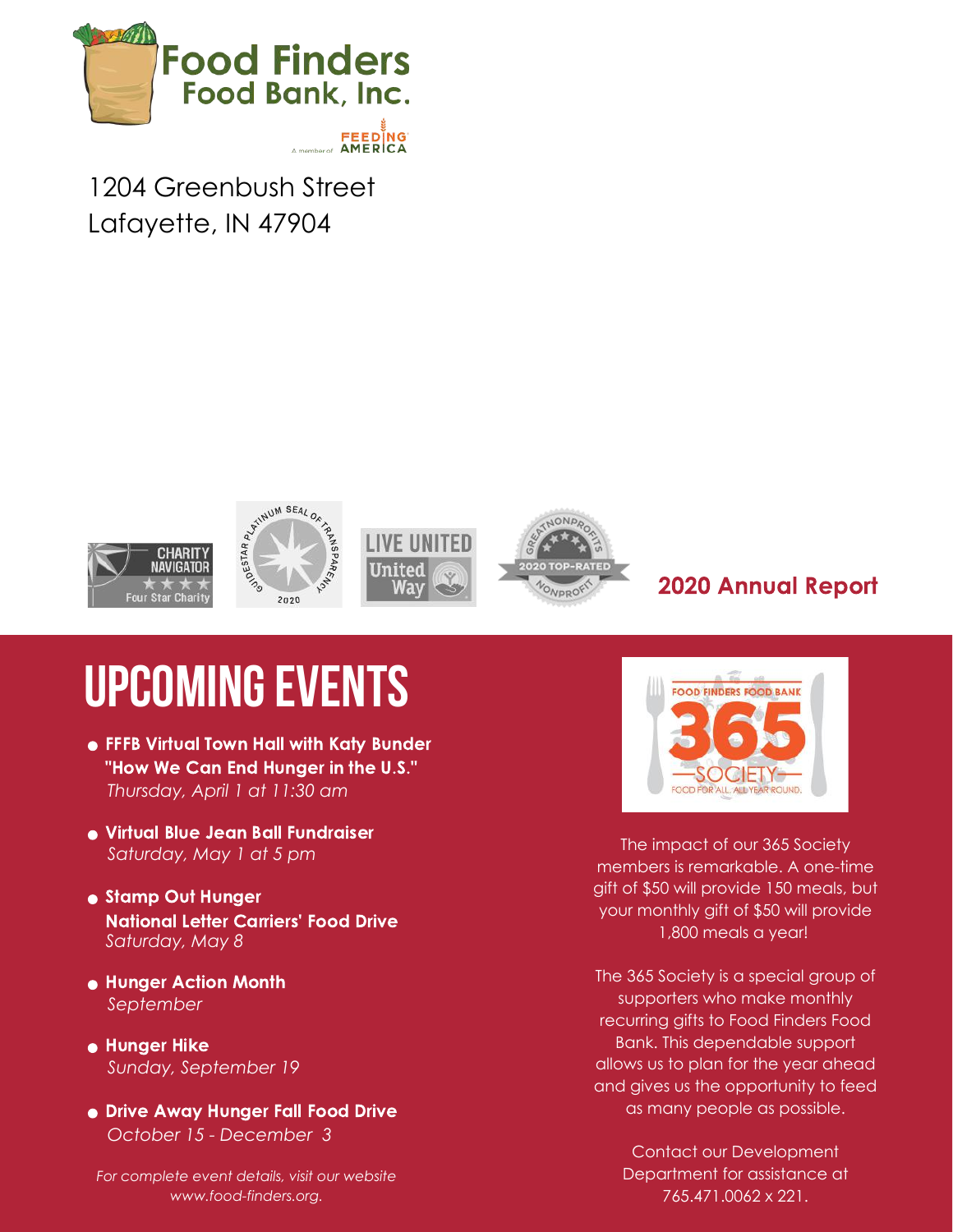

1204 Greenbush Street Lafayette, IN 47904



### 2020 Annual Report

# **UPCOMING EVENTS**

- FFFB Virtual Town Hall with Katy Bunder "How We Can End Hunger in the U.S." *Thursday, April 1 at 11:30 am*
- Virtual Blue Jean Ball Fundraiser *Saturday, May 1 at 5 pm*
- Stamp Out Hunger National Letter Carriers' Food Drive *Saturday, May 8*
- Hunger Action Month *September*
- **Hunger Hike** *Sunday, September 19*
- Drive Away Hunger Fall Food Drive *October 15 - December 3*

*For complete event details, visit our website www.food-finders.org.*



The impact of our 365 Society members is remarkable. A one-time gift of \$50 will provide 150 meals, but your monthly gift of \$50 will provide 1,800 meals a year!

The 365 Society is a special group of supporters who make monthly recurring gifts to Food Finders Food Bank. This dependable support allows us to plan for the year ahead and gives us the opportunity to feed as many people as possible.

> Contact our Development Department for assistance at 765.471.0062 x 221.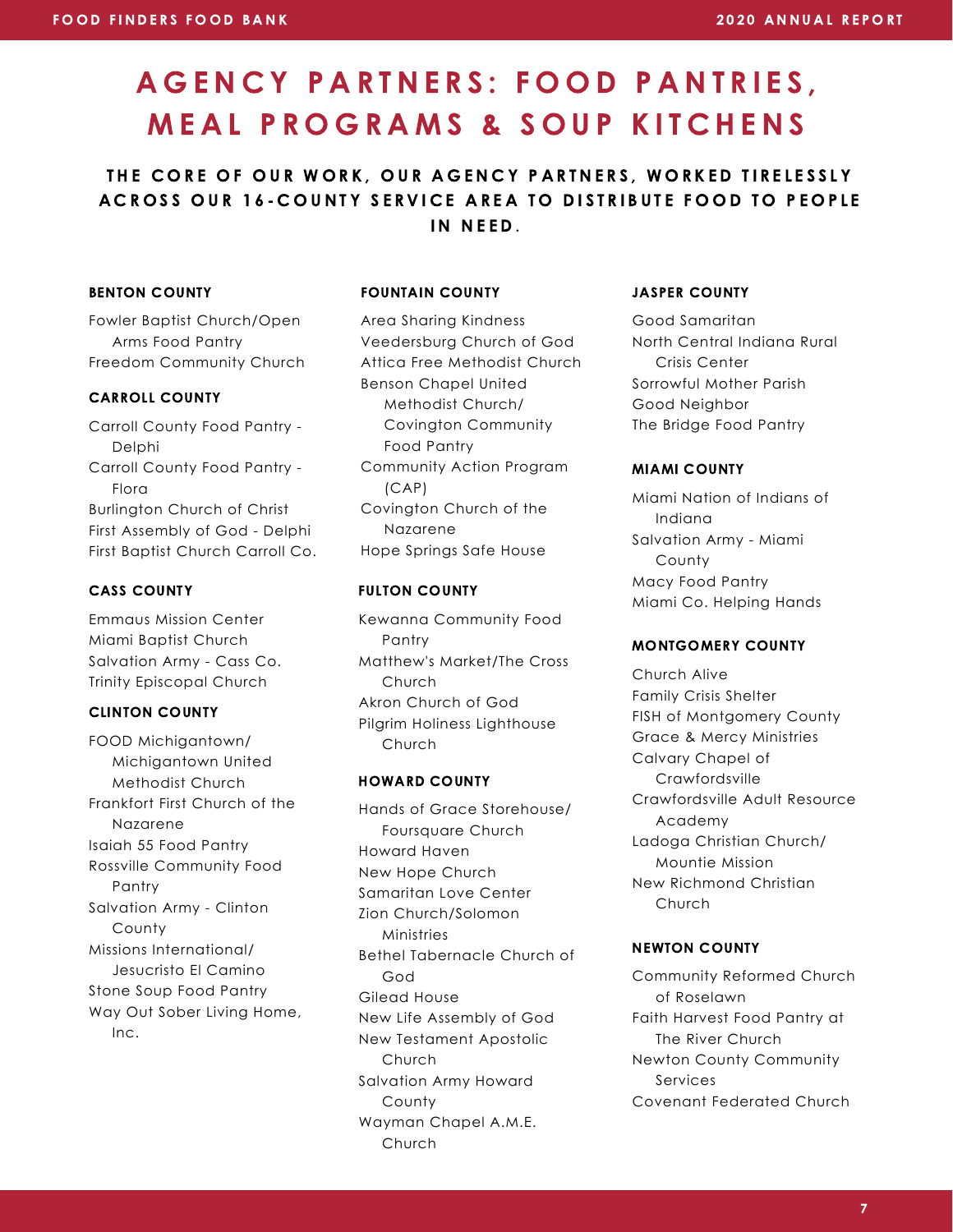## A G E N C Y P A R T N E R S : FO O D P A N T R I E S , MEAL PROGRAMS & SOUP KITCHENS

THE CORE OF OUR WORK, OUR AGENCY PARTNERS, WORKED TIRELESSLY A CROSS OUR 16-COUNTY SERVICE AREA TO DISTRIBUTE FOOD TO PEOPLE IN NEED.

#### BENTON COUNTY

Fowler Baptist Church/Open Arms Food Pantry Freedom Community Church

#### CARROLL COUNTY

Carroll County Food Pantry - Delphi Carroll County Food Pantry - Flora Burlington Church of Christ First Assembly of God - Delphi First Baptist Church Carroll Co.

#### CASS COUNTY

Emmaus Mission Center Miami Baptist Church Salvation Army - Cass Co. Trinity Episcopal Church

#### CLINTON COUNTY

FOOD Michigantown/ Michigantown United Methodist Church Frankfort First Church of the Nazarene Isaiah 55 Food Pantry Rossville Community Food Pantry Salvation Army - Clinton County Missions International/ Jesucristo El Camino Stone Soup Food Pantry Way Out Sober Living Home, Inc.

#### FOUNTAIN COUNTY

Area Sharing Kindness Veedersburg Church of God Attica Free Methodist Church Benson Chapel United Methodist Church/ Covington Community Food Pantry Community Action Program (CAP) Covington Church of the Nazarene Hope Springs Safe House

#### FULTON COUNTY

Kewanna Community Food Pantry Matthew's Market/The Cross Church Akron Church of God Pilgrim Holiness Lighthouse Church

#### HOWARD COUNTY

Hands of Grace Storehouse/ Foursquare Church Howard Haven New Hope Church Samaritan Love Center Zion Church/Solomon Ministries Bethel Tabernacle Church of God Gilead House New Life Assembly of God New Testament Apostolic Church Salvation Army Howard County Wayman Chapel A.M.E. Church

#### JASPER COUNTY

Good Samaritan North Central Indiana Rural Crisis Center Sorrowful Mother Parish Good Neighbor The Bridge Food Pantry

#### MIAMI COUNTY

Miami Nation of Indians of Indiana Salvation Army - Miami County Macy Food Pantry Miami Co. Helping Hands

#### MONTGOMERY COUNTY

Church Alive Family Crisis Shelter FISH of Montgomery County Grace & Mercy Ministries Calvary Chapel of Crawfordsville Crawfordsville Adult Resource Academy Ladoga Christian Church/ Mountie Mission New Richmond Christian Church

#### NEWTON COUNTY

Community Reformed Church of Roselawn Faith Harvest Food Pantry at The River Church Newton County Community Services Covenant Federated Church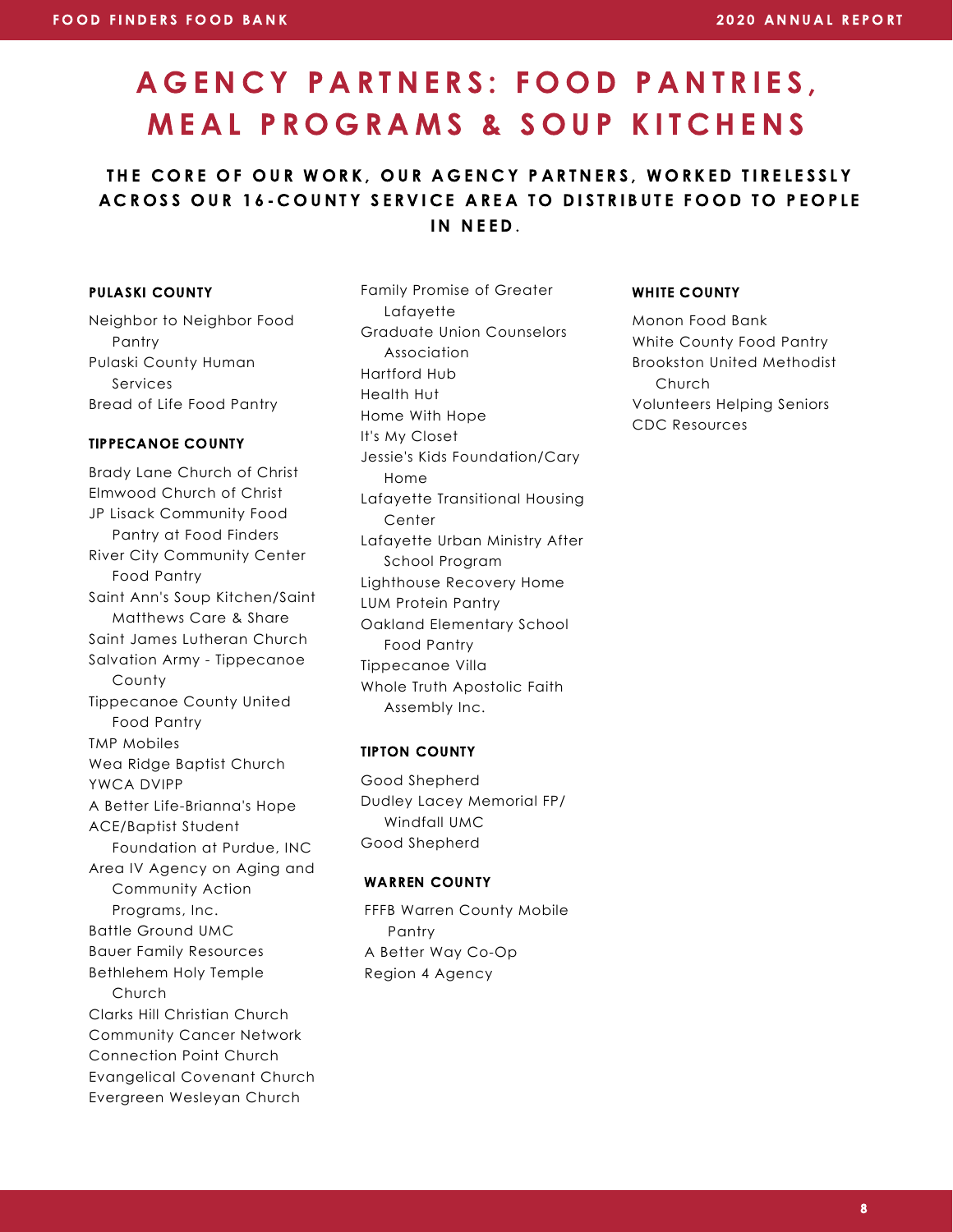## A G E N C Y P A R T N E R S : FO O D P A N T R I E S , MEAL PROGRAMS & SOUP KITCHENS

#### THE CORE OF OUR WORK, OUR AGENCY PARTNERS, WORKED TIRELESSLY A CROSS OUR 16-COUNTY SERVICE AREA TO DISTRIBUTE FOOD TO PEOPLE IN NEED.

#### PULASKI COUNTY

Neighbor to Neighbor Food Pantry Pulaski County Human Services Bread of Life Food Pantry

#### TIPPECANOE COUNTY

Brady Lane Church of Christ Elmwood Church of Christ JP Lisack Community Food Pantry at Food Finders River City Community Center Food Pantry Saint Ann's Soup Kitchen/Saint Matthews Care & Share Saint James Lutheran Church Salvation Army - Tippecanoe County Tippecanoe County United Food Pantry TMP Mobiles Wea Ridge Baptist Church YWCA DVIPP A Better Life-Brianna's Hope ACE/Baptist Student Foundation at Purdue, INC Area IV Agency on Aging and Community Action Programs, Inc. Battle Ground UMC Bauer Family Resources Bethlehem Holy Temple Church Clarks Hill Christian Church Community Cancer Network Connection Point Church Evangelical Covenant Church Evergreen Wesleyan Church

Family Promise of Greater Lafayette Graduate Union Counselors Association Hartford Hub Health Hut Home With Hope It's My Closet Jessie's Kids Foundation/Cary Home Lafayette Transitional Housing Center Lafayette Urban Ministry After School Program Lighthouse Recovery Home LUM Protein Pantry Oakland Elementary School Food Pantry Tippecanoe Villa Whole Truth Apostolic Faith Assembly Inc.

#### TIPTON COUNTY

Good Shepherd Dudley Lacey Memorial FP/ Windfall UMC Good Shepherd

#### WARREN COUNTY

FFFB Warren County Mobile Pantry A Better Way Co-Op Region 4 Agency

#### WHITE COUNTY

Monon Food Bank White County Food Pantry Brookston United Methodist Church Volunteers Helping Seniors CDC Resources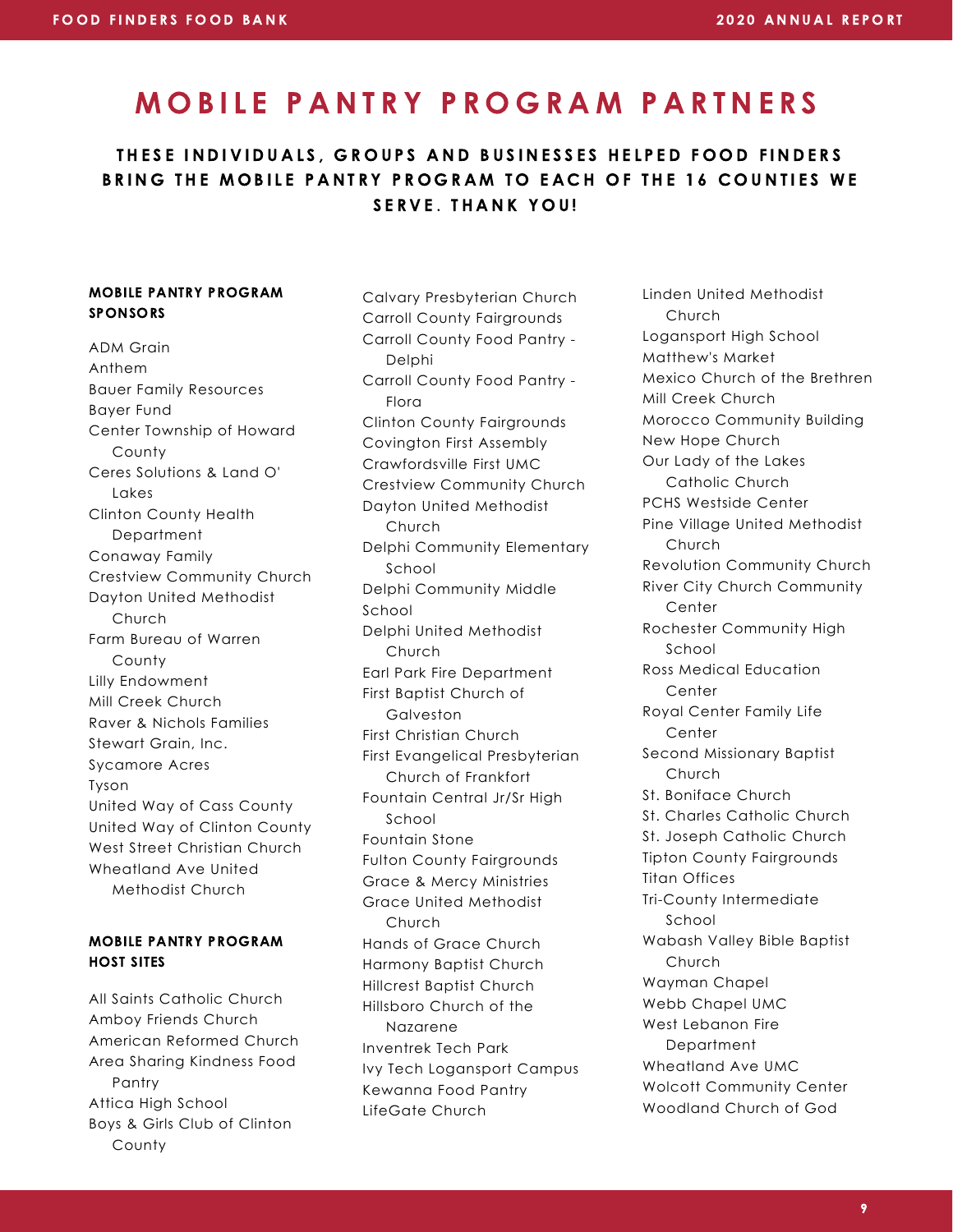### MOBILE PANTRY PROGRAM PARTNERS

### THESE INDIVIDUALS, GROUPS AND BUSINESSES HELPED FOOD FINDERS BRING THE MOBILE PANTRY PROGRAM TO EACH OF THE 16 COUNTIES WE SERVE. THANK YOU!

#### MOBILE PANTRY PROGRAM **SPONSORS**

ADM Grain Anthem Bauer Family Resources Bayer Fund Center Township of Howard County Ceres Solutions & Land O' Lakes Clinton County Health Department Conaway Family Crestview Community Church Dayton United Methodist Church Farm Bureau of Warren County Lilly Endowment Mill Creek Church Raver & Nichols Families Stewart Grain, Inc. Sycamore Acres Tyson United Way of Cass County United Way of Clinton County West Street Christian Church Wheatland Ave United Methodist Church

#### MOBILE PANTRY PROGRAM HOST SITES

All Saints Catholic Church Amboy Friends Church American Reformed Church Area Sharing Kindness Food Pantry Attica High School Boys & Girls Club of Clinton County

Calvary Presbyterian Church Carroll County Fairgrounds Carroll County Food Pantry - Delphi Carroll County Food Pantry - Flora Clinton County Fairgrounds Covington First Assembly Crawfordsville First UMC Crestview Community Church Dayton United Methodist Church Delphi Community Elementary School Delphi Community Middle School Delphi United Methodist Church Earl Park Fire Department First Baptist Church of Galveston First Christian Church First Evangelical Presbyterian Church of Frankfort Fountain Central Jr/Sr High School Fountain Stone Fulton County Fairgrounds Grace & Mercy Ministries Grace United Methodist Church Hands of Grace Church Harmony Baptist Church Hillcrest Baptist Church Hillsboro Church of the Nazarene Inventrek Tech Park Ivy Tech Logansport Campus Kewanna Food Pantry LifeGate Church

Linden United Methodist Church Logansport High School Matthew's Market Mexico Church of the Brethren Mill Creek Church Morocco Community Building New Hope Church Our Lady of the Lakes Catholic Church PCHS Westside Center Pine Village United Methodist Church Revolution Community Church River City Church Community Center Rochester Community High School Ross Medical Education **Center** Royal Center Family Life Center Second Missionary Baptist Church St. Boniface Church St. Charles Catholic Church St. Joseph Catholic Church Tipton County Fairgrounds Titan Offices Tri-County Intermediate School Wabash Valley Bible Baptist Church Wayman Chapel Webb Chapel UMC West Lebanon Fire **Department** Wheatland Ave UMC Wolcott Community Center Woodland Church of God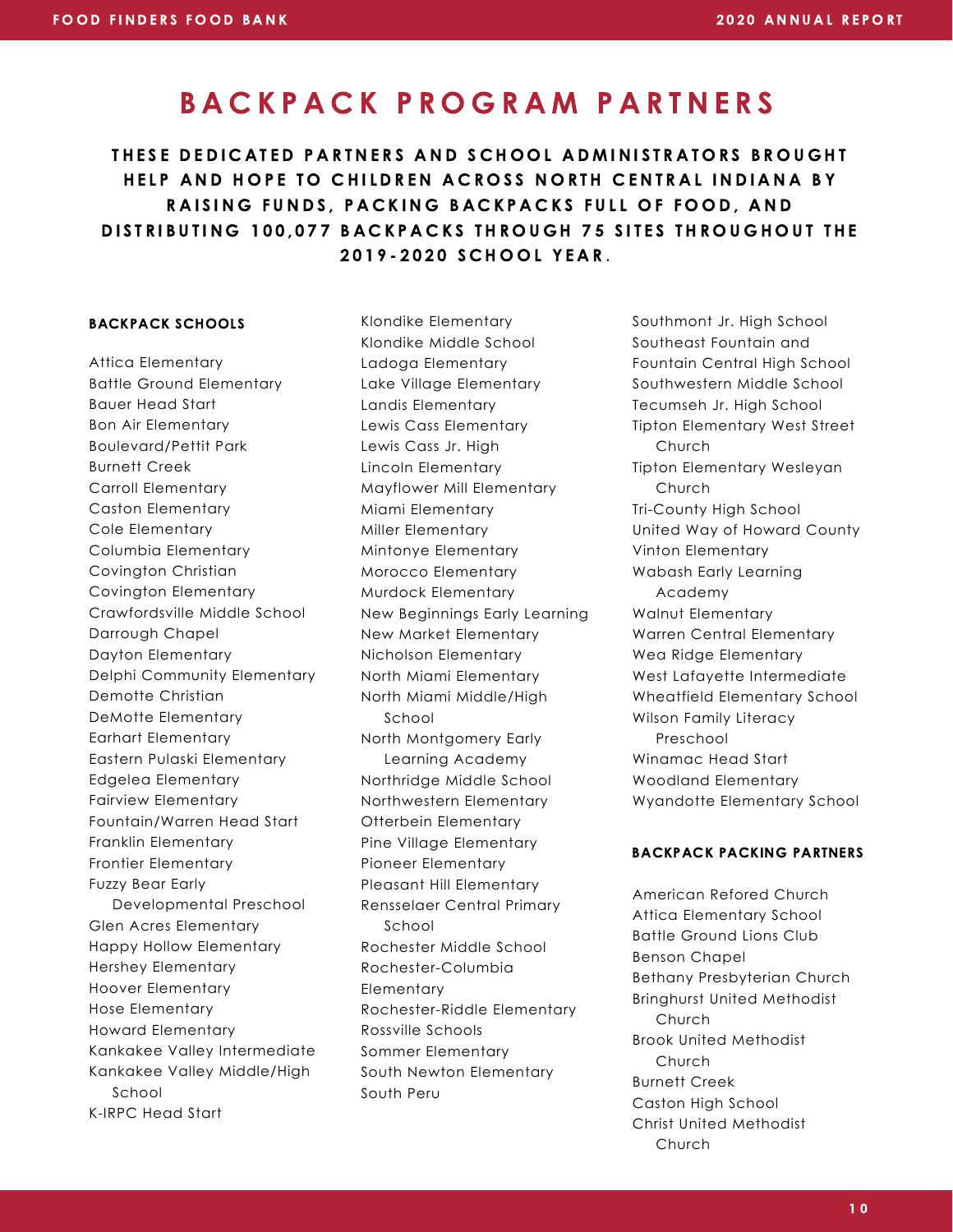### B A C K P A C K P R O G R A M P A R T N E R S

THESE DEDICATED PARTNERS AND SCHOOL ADMINISTRATORS BROUGHT HELP AND HOPE TO CHILDREN ACROSS NORTH CENTRAL INDIANA BY RAISING FUNDS, PACKING BACKPACKS FULL OF FOOD, AND DISTRIBUTING 100,077 BACKPACKS THROUGH 75 SITES THROUGHOUT THE 2019-2020 SCHOOL YEAR.

#### BACKPACK SCHOOLS

Attica Elementary Battle Ground Elementary Bauer Head Start Bon Air Elementary Boulevard/Pettit Park Burnett Creek Carroll Elementary Caston Elementary Cole Elementary Columbia Elementary Covington Christian Covington Elementary Crawfordsville Middle School Darrough Chapel Dayton Elementary Delphi Community Elementary Demotte Christian DeMotte Elementary Earhart Elementary Eastern Pulaski Elementary Edgelea Elementary Fairview Elementary Fountain/Warren Head Start Franklin Elementary Frontier Elementary Fuzzy Bear Early Developmental Preschool Glen Acres Elementary Happy Hollow Elementary Hershey Elementary Hoover Elementary Hose Elementary Howard Elementary Kankakee Valley Intermediate Kankakee Valley Middle/High School K-IRPC Head Start

Klondike Elementary Klondike Middle School Ladoga Elementary Lake Village Elementary Landis Elementary Lewis Cass Elementary Lewis Cass Jr. High Lincoln Elementary Mayflower Mill Elementary Miami Elementary Miller Elementary Mintonye Elementary Morocco Elementary Murdock Elementary New Beginnings Early Learning New Market Elementary Nicholson Elementary North Miami Elementary North Miami Middle/High School North Montgomery Early Learning Academy Northridge Middle School Northwestern Elementary Otterbein Elementary Pine Village Elementary Pioneer Elementary Pleasant Hill Elementary Rensselaer Central Primary School Rochester Middle School Rochester-Columbia **Elementary** Rochester-Riddle Elementary Rossville Schools Sommer Elementary South Newton Elementary South Peru

Southmont Jr. High School Southeast Fountain and Fountain Central High School Southwestern Middle School Tecumseh Jr. High School Tipton Elementary West Street **Church** Tipton Elementary Wesleyan Church Tri-County High School United Way of Howard County Vinton Elementary Wabash Early Learning Academy Walnut Elementary Warren Central Elementary Wea Ridge Elementary West Lafayette Intermediate Wheatfield Elementary School Wilson Family Literacy Preschool Winamac Head Start Woodland Elementary Wyandotte Elementary School

#### BACKPACK PACKING PARTNERS

American Refored Church Attica Elementary School Battle Ground Lions Club Benson Chapel Bethany Presbyterian Church Bringhurst United Methodist **Church** Brook United Methodist Church Burnett Creek Caston High School Christ United Methodist Church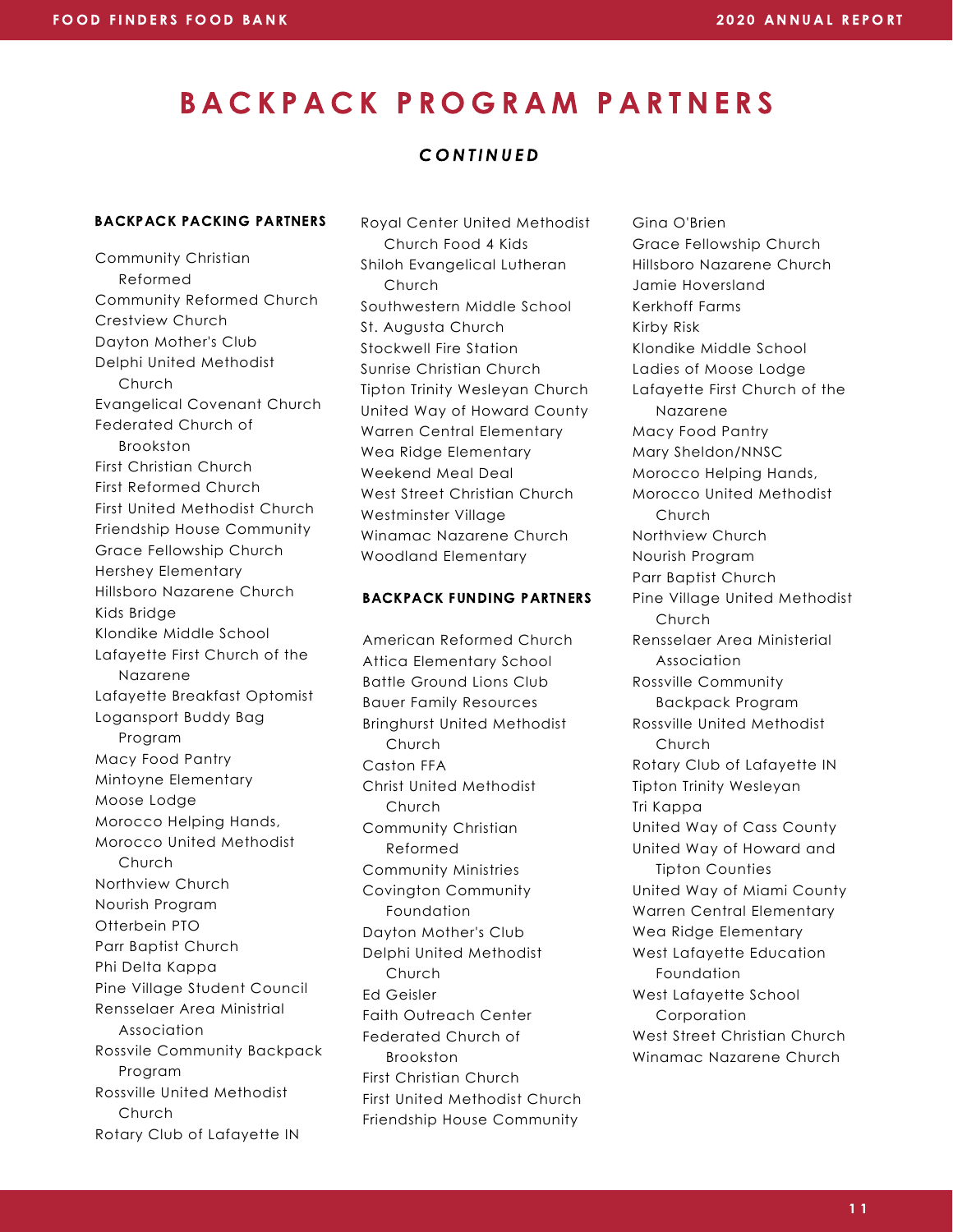### B A C K P A C K P R O G R A M P A R T N E R S

#### **CONTINUED**

#### BACKPACK PACKING PARTNERS

Community Christian Reformed Community Reformed Church Crestview Church Dayton Mother's Club Delphi United Methodist Church Evangelical Covenant Church Federated Church of Brookston First Christian Church First Reformed Church First United Methodist Church Friendship House Community Grace Fellowship Church Hershey Elementary Hillsboro Nazarene Church Kids Bridge Klondike Middle School Lafayette First Church of the Nazarene Lafayette Breakfast Optomist Logansport Buddy Bag Program Macy Food Pantry Mintoyne Elementary Moose Lodge Morocco Helping Hands, Morocco United Methodist Church Northview Church Nourish Program Otterbein PTO Parr Baptist Church Phi Delta Kappa Pine Village Student Council Rensselaer Area Ministrial Association Rossvile Community Backpack Program Rossville United Methodist Church Rotary Club of Lafayette IN

Royal Center United Methodist Church Food 4 Kids Shiloh Evangelical Lutheran Church Southwestern Middle School St. Augusta Church Stockwell Fire Station Sunrise Christian Church Tipton Trinity Wesleyan Church United Way of Howard County Warren Central Elementary Wea Ridge Elementary Weekend Meal Deal West Street Christian Church Westminster Village Winamac Nazarene Church Woodland Elementary

#### BACKPACK FUNDING PARTNERS

American Reformed Church Attica Elementary School Battle Ground Lions Club Bauer Family Resources Bringhurst United Methodist Church Caston FFA Christ United Methodist Church Community Christian Reformed Community Ministries Covington Community Foundation Dayton Mother's Club Delphi United Methodist Church Ed Geisler Faith Outreach Center Federated Church of Brookston First Christian Church First United Methodist Church Friendship House Community

Gina O'Brien Grace Fellowship Church Hillsboro Nazarene Church Jamie Hoversland Kerkhoff Farms Kirby Risk Klondike Middle School Ladies of Moose Lodge Lafayette First Church of the Nazarene Macy Food Pantry Mary Sheldon/NNSC Morocco Helping Hands, Morocco United Methodist Church Northview Church Nourish Program Parr Baptist Church Pine Village United Methodist **Church** Rensselaer Area Ministerial Association Rossville Community Backpack Program Rossville United Methodist **Church** Rotary Club of Lafayette IN Tipton Trinity Wesleyan Tri Kappa United Way of Cass County United Way of Howard and Tipton Counties United Way of Miami County Warren Central Elementary Wea Ridge Elementary West Lafayette Education Foundation West Lafayette School Corporation West Street Christian Church Winamac Nazarene Church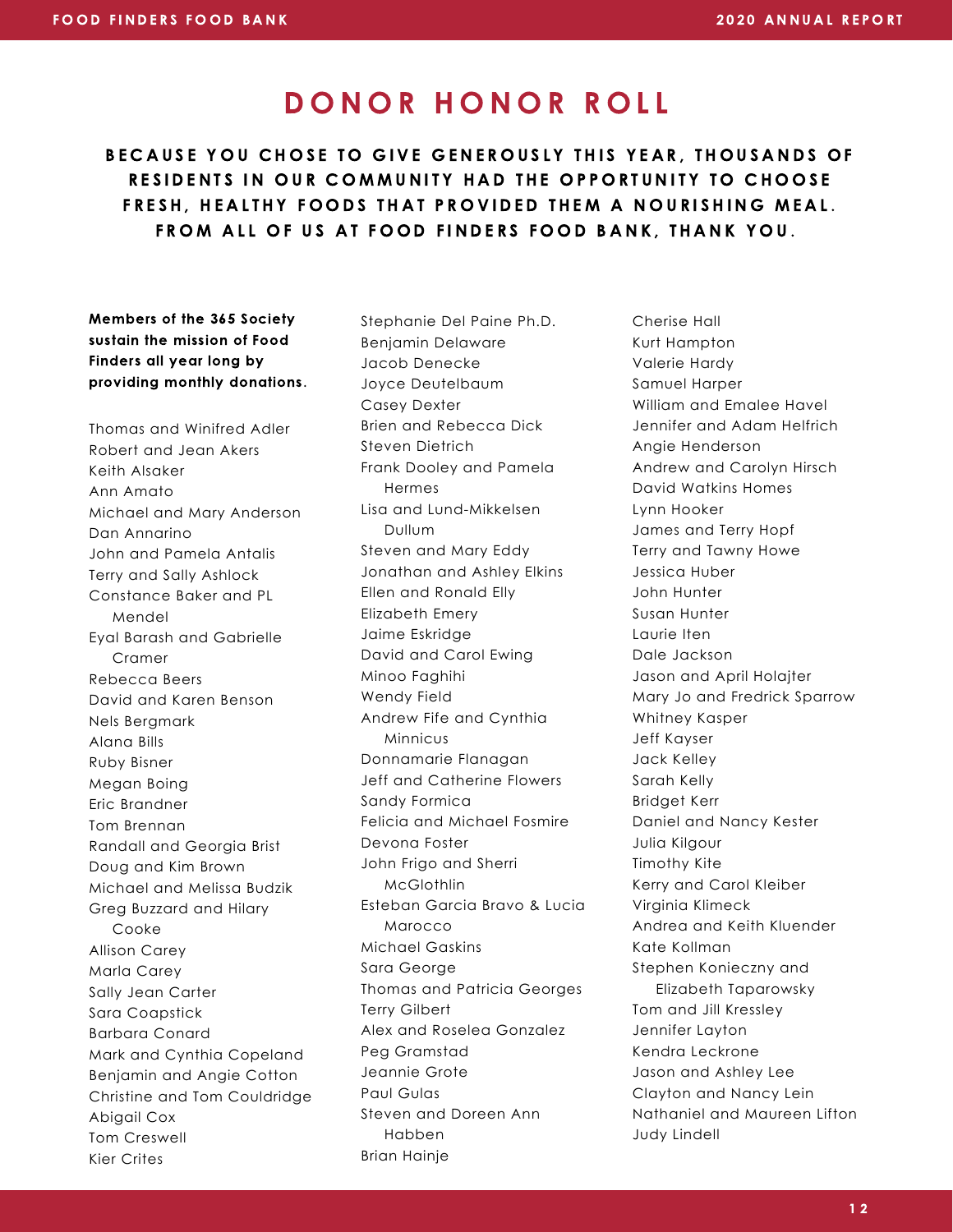BECAUSE YOU CHOSE TO GIVE GENEROUSLY THIS YEAR, THOUSANDS OF RESIDENTS IN OUR COMMUNITY HAD THE OPPORTUNITY TO CHOOSE FRESH. HEALTHY FOODS THAT PROVIDED THEM A NOURISHING MEAL. FROM ALL OF US AT FOOD FINDERS FOOD BANK, THANK YOU.

Members of the 365 Society sustain the mission of Food Finders all year long by providing monthly donations.

Thomas and Winifred Adler Robert and Jean Akers Keith Alsaker Ann Amato Michael and Mary Anderson Dan Annarino John and Pamela Antalis Terry and Sally Ashlock Constance Baker and PL Mendel Eyal Barash and Gabrielle Cramer Rebecca Beers David and Karen Benson Nels Bergmark Alana Bills Ruby Bisner Megan Boing Eric Brandner Tom Brennan Randall and Georgia Brist Doug and Kim Brown Michael and Melissa Budzik Greg Buzzard and Hilary Cooke Allison Carey Marla Carey Sally Jean Carter Sara Coapstick Barbara Conard Mark and Cynthia Copeland Benjamin and Angie Cotton Christine and Tom Couldridge Abigail Cox Tom Creswell Kier Crites

Stephanie Del Paine Ph.D. Benjamin Delaware Jacob Denecke Joyce Deutelbaum Casey Dexter Brien and Rebecca Dick Steven Dietrich Frank Dooley and Pamela Hermes Lisa and Lund-Mikkelsen Dullum Steven and Mary Eddy Jonathan and Ashley Elkins Ellen and Ronald Elly Elizabeth Emery Jaime Eskridge David and Carol Ewing Minoo Faghihi Wendy Field Andrew Fife and Cynthia Minnicus Donnamarie Flanagan Jeff and Catherine Flowers Sandy Formica Felicia and Michael Fosmire Devona Foster John Frigo and Sherri McGlothlin Esteban Garcia Bravo & Lucia Marocco Michael Gaskins Sara George Thomas and Patricia Georges Terry Gilbert Alex and Roselea Gonzalez Peg Gramstad Jeannie Grote Paul Gulas Steven and Doreen Ann Habben Brian Hainje

Cherise Hall Kurt Hampton Valerie Hardy Samuel Harper William and Emalee Havel Jennifer and Adam Helfrich Angie Henderson Andrew and Carolyn Hirsch David Watkins Homes Lynn Hooker James and Terry Hopf Terry and Tawny Howe Jessica Huber John Hunter Susan Hunter Laurie Iten Dale Jackson Jason and April Holajter Mary Jo and Fredrick Sparrow Whitney Kasper Jeff Kayser Jack Kelley Sarah Kelly Bridget Kerr Daniel and Nancy Kester Julia Kilgour Timothy Kite Kerry and Carol Kleiber Virginia Klimeck Andrea and Keith Kluender Kate Kollman Stephen Konieczny and Elizabeth Taparowsky Tom and Jill Kressley Jennifer Layton Kendra Leckrone Jason and Ashley Lee Clayton and Nancy Lein Nathaniel and Maureen Lifton Judy Lindell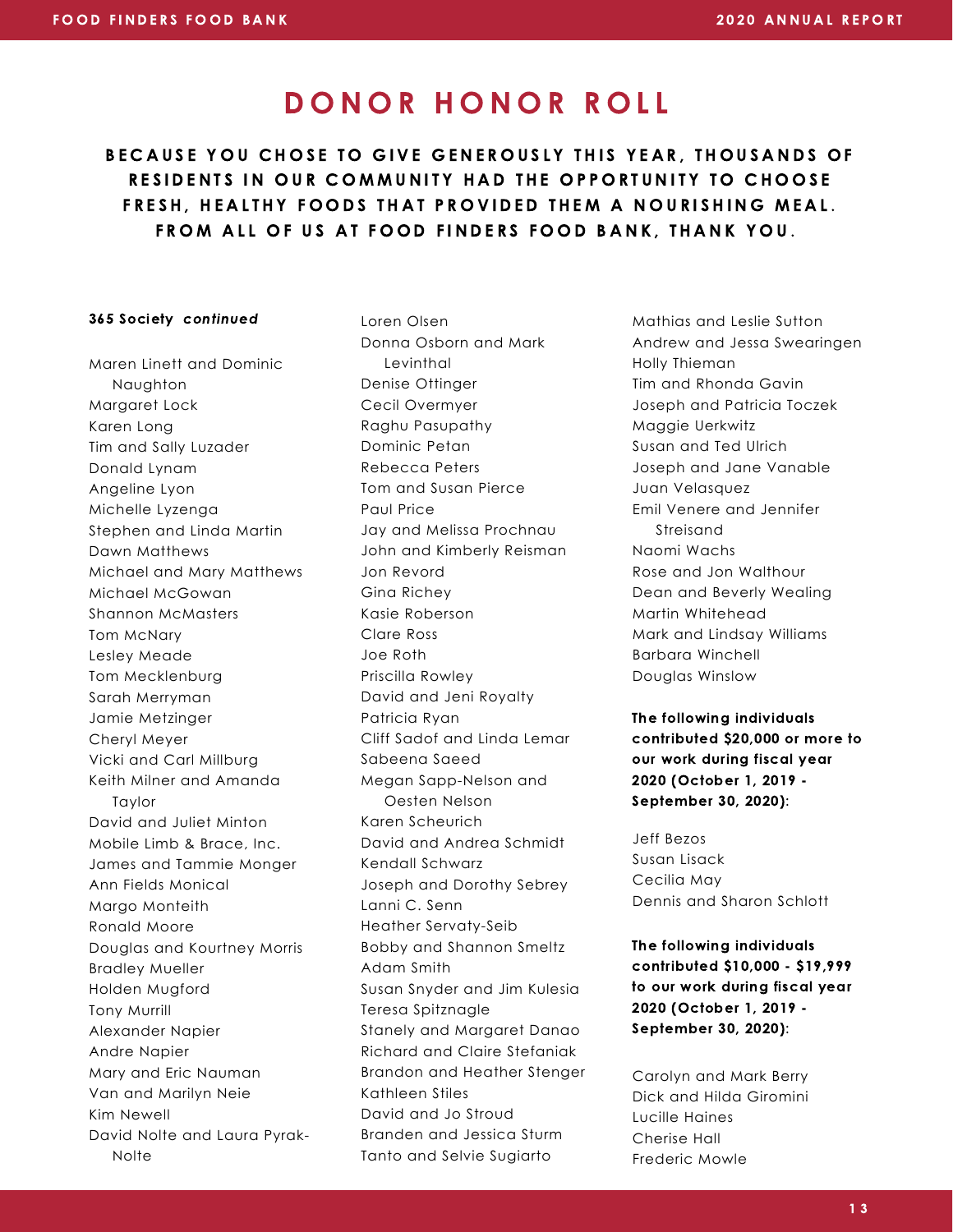BECAUSE YOU CHOSE TO GIVE GENEROUSLY THIS YEAR, THOUSANDS OF RESIDENTS IN OUR COMMUNITY HAD THE OPPORTUNITY TO CHOOSE FRESH. HEALTHY FOODS THAT PROVIDED THEM A NOURISHING MEAL. FROM ALL OF US AT FOOD FINDERS FOOD BANK, THANK YOU.

#### 365 Society continued

Maren Linett and Dominic Naughton Margaret Lock Karen Long Tim and Sally Luzader Donald Lynam Angeline Lyon Michelle Lyzenga Stephen and Linda Martin Dawn Matthews Michael and Mary Matthews Michael McGowan Shannon McMasters Tom McNary Lesley Meade Tom Mecklenburg Sarah Merryman Jamie Metzinger Cheryl Meyer Vicki and Carl Millburg Keith Milner and Amanda Taylor David and Juliet Minton Mobile Limb & Brace, Inc. James and Tammie Monger Ann Fields Monical Margo Monteith Ronald Moore Douglas and Kourtney Morris Bradley Mueller Holden Mugford Tony Murrill Alexander Napier Andre Napier Mary and Eric Nauman Van and Marilyn Neie Kim Newell David Nolte and Laura Pyrak-**Nolte** 

Loren Olsen Donna Osborn and Mark Levinthal Denise Ottinger Cecil Overmyer Raghu Pasupathy Dominic Petan Rebecca Peters Tom and Susan Pierce Paul Price Jay and Melissa Prochnau John and Kimberly Reisman Jon Revord Gina Richey Kasie Roberson Clare Ross Joe Roth Priscilla Rowley David and Jeni Royalty Patricia Ryan Cliff Sadof and Linda Lemar Sabeena Saeed Megan Sapp-Nelson and Oesten Nelson Karen Scheurich David and Andrea Schmidt Kendall Schwarz Joseph and Dorothy Sebrey Lanni C. Senn Heather Servaty-Seib Bobby and Shannon Smeltz Adam Smith Susan Snyder and Jim Kulesia Teresa Spitznagle Stanely and Margaret Danao Richard and Claire Stefaniak Brandon and Heather Stenger Kathleen Stiles David and Jo Stroud Branden and Jessica Sturm Tanto and Selvie Sugiarto

Mathias and Leslie Sutton Andrew and Jessa Swearingen Holly Thieman Tim and Rhonda Gavin Joseph and Patricia Toczek Maggie Uerkwitz Susan and Ted Ulrich Joseph and Jane Vanable Juan Velasquez Emil Venere and Jennifer Streisand Naomi Wachs Rose and Jon Walthour Dean and Beverly Wealing Martin Whitehead Mark and Lindsay Williams Barbara Winchell Douglas Winslow

The following individuals contributed \$20,000 or more to our work during fiscal year 2020 (October 1, 2019 - September 30, 2020):

Jeff Bezos Susan Lisack Cecilia May Dennis and Sharon Schlott

The following individuals contributed \$10,000 - \$19,999 to our work during fiscal year 2020 (October 1, 2019 - September 30, 2020):

Carolyn and Mark Berry Dick and Hilda Giromini Lucille Haines Cherise Hall Frederic Mowle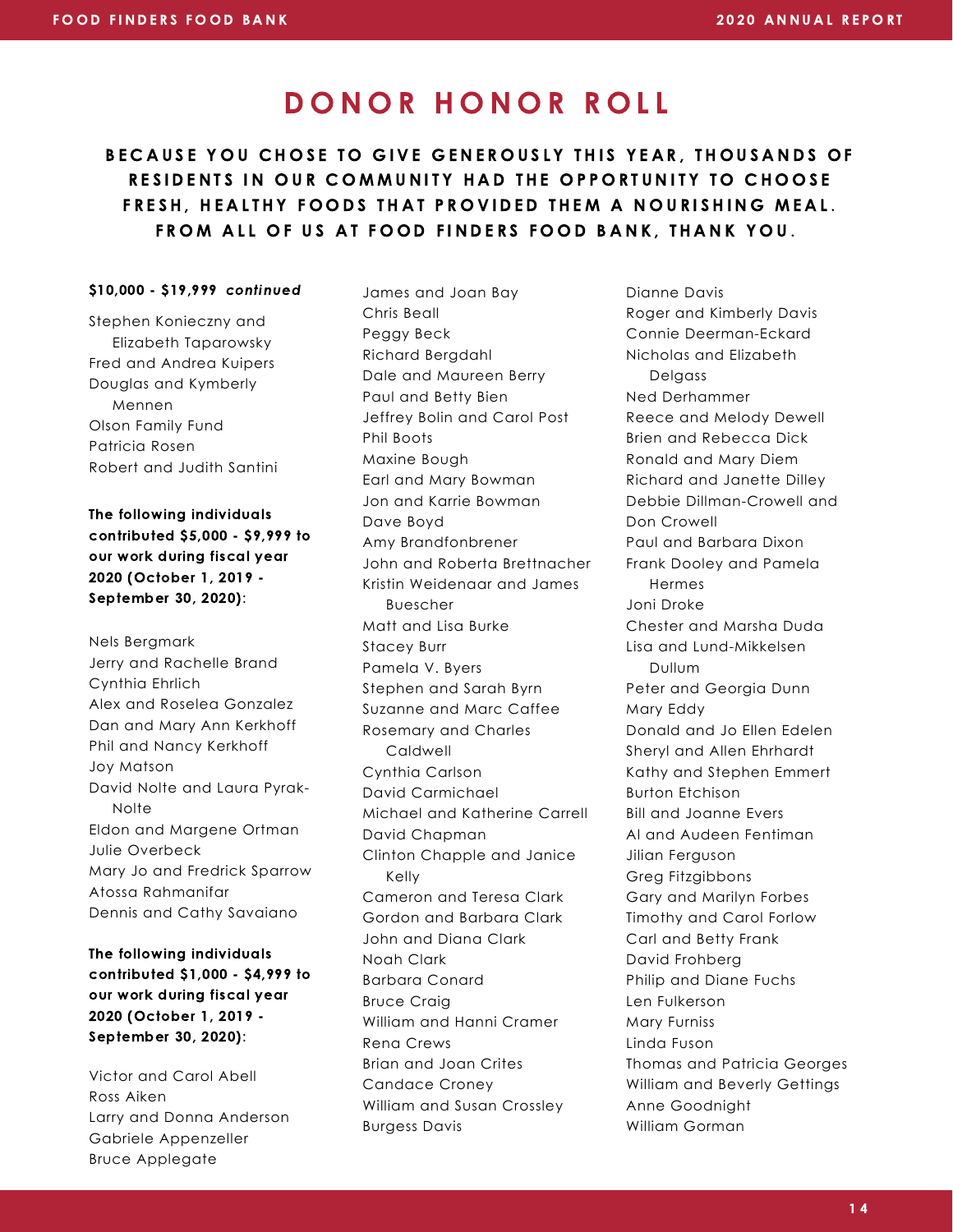### BECAUSE YOU CHOSE TO GIVE GENEROUSLY THIS YEAR, THOUSANDS OF RESIDENTS IN OUR COMMUNITY HAD THE OPPORTUNITY TO CHOOSE FRESH. HEALTHY FOODS THAT PROVIDED THEM A NOURISHING MEAL. FROM ALL OF US AT FOOD FINDERS FOOD BANK, THANK YOU.

#### \$10,000 - \$19,999 continued

Stephen Konieczny and Elizabeth Taparowsky Fred and Andrea Kuipers Douglas and Kymberly Mennen Olson Family Fund Patricia Rosen Robert and Judith Santini

The following individuals contributed \$5,000 - \$9,999 to our work during fiscal year 2020 (October 1, 2019 - September 30, 2020):

Nels Bergmark Jerry and Rachelle Brand Cynthia Ehrlich Alex and Roselea Gonzalez Dan and Mary Ann Kerkhoff Phil and Nancy Kerkhoff Joy Matson David Nolte and Laura Pyrak-**Nolte** Eldon and Margene Ortman Julie Overbeck Mary Jo and Fredrick Sparrow Atossa Rahmanifar Dennis and Cathy Savaiano

The following individuals contributed \$1,000 - \$4,999 to our work during fiscal year 2020 (October 1, 2019 - September 30, 2020):

Victor and Carol Abell Ross Aiken Larry and Donna Anderson Gabriele Appenzeller Bruce Applegate

James and Joan Bay Chris Beall Peggy Beck Richard Bergdahl Dale and Maureen Berry Paul and Betty Bien Jeffrey Bolin and Carol Post Phil Boots Maxine Bough Earl and Mary Bowman Jon and Karrie Bowman Dave Boyd Amy Brandfonbrener John and Roberta Brettnacher Kristin Weidenaar and James Buescher Matt and Lisa Burke Stacey Burr Pamela V. Byers Stephen and Sarah Byrn Suzanne and Marc Caffee Rosemary and Charles Caldwell Cynthia Carlson David Carmichael Michael and Katherine Carrell David Chapman Clinton Chapple and Janice Kelly Cameron and Teresa Clark Gordon and Barbara Clark John and Diana Clark Noah Clark Barbara Conard Bruce Craig William and Hanni Cramer Rena Crews Brian and Joan Crites Candace Croney William and Susan Crossley Burgess Davis

Dianne Davis Roger and Kimberly Davis Connie Deerman-Eckard Nicholas and Elizabeth Delgass Ned Derhammer Reece and Melody Dewell Brien and Rebecca Dick Ronald and Mary Diem Richard and Janette Dilley Debbie Dillman-Crowell and Don Crowell Paul and Barbara Dixon Frank Dooley and Pamela Hermes Joni Droke Chester and Marsha Duda Lisa and Lund-Mikkelsen Dullum Peter and Georgia Dunn Mary Eddy Donald and Jo Ellen Edelen Sheryl and Allen Ehrhardt Kathy and Stephen Emmert Burton Etchison Bill and Joanne Evers Al and Audeen Fentiman Jilian Ferguson Greg Fitzgibbons Gary and Marilyn Forbes Timothy and Carol Forlow Carl and Betty Frank David Frohberg Philip and Diane Fuchs Len Fulkerson Mary Furniss Linda Fuson Thomas and Patricia Georges William and Beverly Gettings Anne Goodnight William Gorman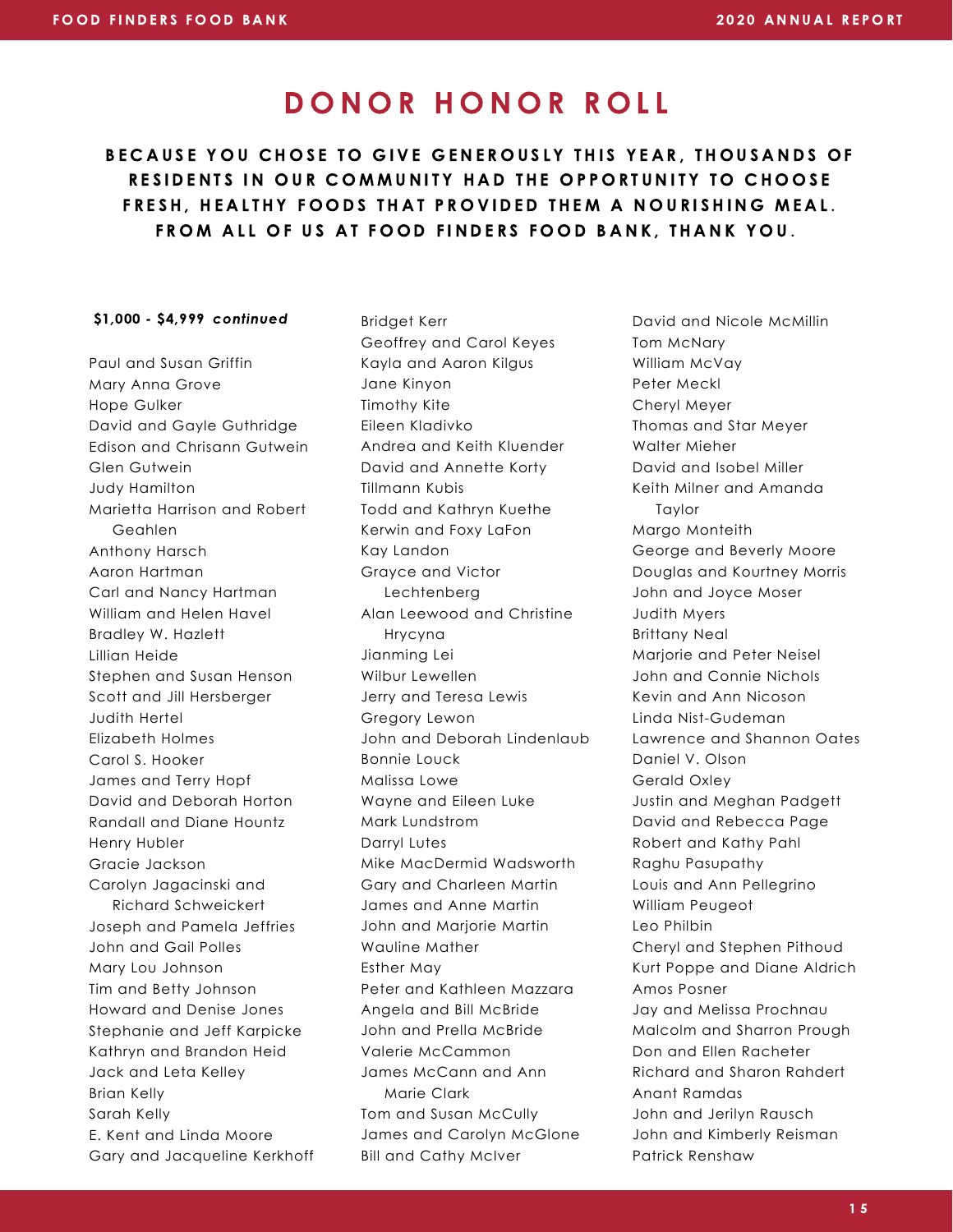BECAUSE YOU CHOSE TO GIVE GENEROUSLY THIS YEAR, THOUSANDS OF RESIDENTS IN OUR COMMUNITY HAD THE OPPORTUNITY TO CHOOSE FRESH. HEALTHY FOODS THAT PROVIDED THEM A NOURISHING MEAL. FROM ALL OF US AT FOOD FINDERS FOOD BANK, THANK YOU.

#### \$1,000 - \$4,999 continued

Paul and Susan Griffin Mary Anna Grove Hope Gulker David and Gayle Guthridge Edison and Chrisann Gutwein Glen Gutwein Judy Hamilton Marietta Harrison and Robert Geahlen Anthony Harsch Aaron Hartman Carl and Nancy Hartman William and Helen Havel Bradley W. Hazlett Lillian Heide Stephen and Susan Henson Scott and Jill Hersberger Judith Hertel Elizabeth Holmes Carol S. Hooker James and Terry Hopf David and Deborah Horton Randall and Diane Hountz Henry Hubler Gracie Jackson Carolyn Jagacinski and Richard Schweickert Joseph and Pamela Jeffries John and Gail Polles Mary Lou Johnson Tim and Betty Johnson Howard and Denise Jones Stephanie and Jeff Karpicke Kathryn and Brandon Heid Jack and Leta Kelley Brian Kelly Sarah Kelly E. Kent and Linda Moore Gary and Jacqueline Kerkhoff

Bridget Kerr Geoffrey and Carol Keyes Kayla and Aaron Kilgus Jane Kinyon Timothy Kite Eileen Kladivko Andrea and Keith Kluender David and Annette Korty Tillmann Kubis Todd and Kathryn Kuethe Kerwin and Foxy LaFon Kay Landon Grayce and Victor Lechtenberg Alan Leewood and Christine Hrycyna Jianming Lei Wilbur Lewellen Jerry and Teresa Lewis Gregory Lewon John and Deborah Lindenlaub Bonnie Louck Malissa Lowe Wayne and Eileen Luke Mark Lundstrom Darryl Lutes Mike MacDermid Wadsworth Gary and Charleen Martin James and Anne Martin John and Marjorie Martin Wauline Mather Esther May Peter and Kathleen Mazzara Angela and Bill McBride John and Prella McBride Valerie McCammon James McCann and Ann Marie Clark Tom and Susan McCully James and Carolyn McGlone Bill and Cathy McIver

David and Nicole McMillin Tom McNary William McVay Peter Meckl Cheryl Meyer Thomas and Star Meyer Walter Mieher David and Isobel Miller Keith Milner and Amanda Taylor Margo Monteith George and Beverly Moore Douglas and Kourtney Morris John and Joyce Moser Judith Myers Brittany Neal Marjorie and Peter Neisel John and Connie Nichols Kevin and Ann Nicoson Linda Nist-Gudeman Lawrence and Shannon Oates Daniel V. Olson Gerald Oxley Justin and Meghan Padgett David and Rebecca Page Robert and Kathy Pahl Raghu Pasupathy Louis and Ann Pellegrino William Peugeot Leo Philbin Cheryl and Stephen Pithoud Kurt Poppe and Diane Aldrich Amos Posner Jay and Melissa Prochnau Malcolm and Sharron Prough Don and Ellen Racheter Richard and Sharon Rahdert Anant Ramdas John and Jerilyn Rausch John and Kimberly Reisman Patrick Renshaw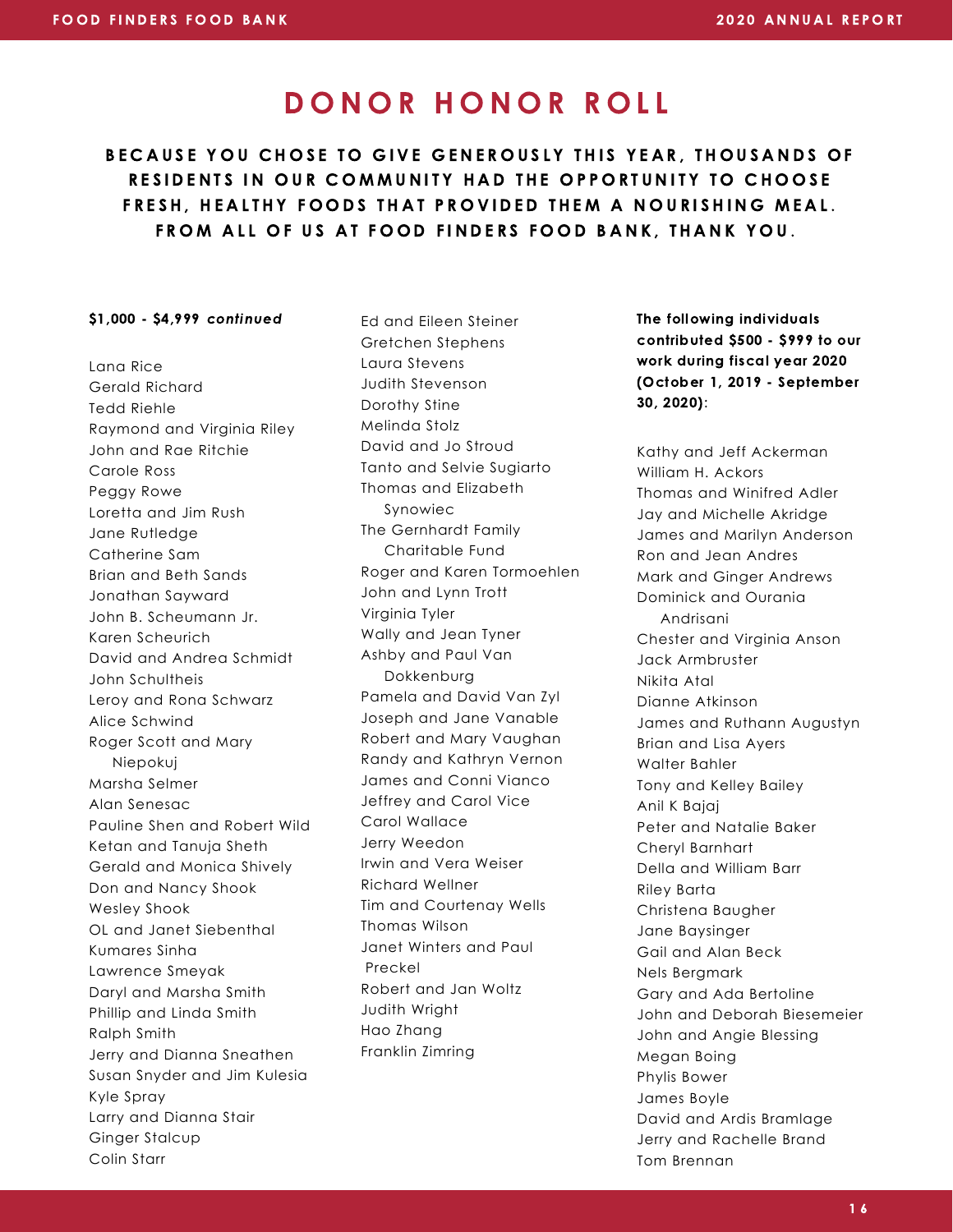BECAUSE YOU CHOSE TO GIVE GENEROUSLY THIS YEAR, THOUSANDS OF RESIDENTS IN OUR COMMUNITY HAD THE OPPORTUNITY TO CHOOSE FRESH. HEALTHY FOODS THAT PROVIDED THEM A NOURISHING MEAL. FROM ALL OF US AT FOOD FINDERS FOOD BANK, THANK YOU.

#### \$1,000 - \$4,999 continued

Lana Rice Gerald Richard Tedd Riehle Raymond and Virginia Riley John and Rae Ritchie Carole Ross Peggy Rowe Loretta and Jim Rush Jane Rutledge Catherine Sam Brian and Beth Sands Jonathan Sayward John B. Scheumann Jr. Karen Scheurich David and Andrea Schmidt John Schultheis Leroy and Rona Schwarz Alice Schwind Roger Scott and Mary Niepokuj Marsha Selmer Alan Senesac Pauline Shen and Robert Wild Ketan and Tanuja Sheth Gerald and Monica Shively Don and Nancy Shook Wesley Shook OL and Janet Siebenthal Kumares Sinha Lawrence Smeyak Daryl and Marsha Smith Phillip and Linda Smith Ralph Smith Jerry and Dianna Sneathen Susan Snyder and Jim Kulesia Kyle Spray Larry and Dianna Stair Ginger Stalcup Colin Starr

Ed and Eileen Steiner Gretchen Stephens Laura Stevens Judith Stevenson Dorothy Stine Melinda Stolz David and Jo Stroud Tanto and Selvie Sugiarto Thomas and Elizabeth Synowiec The Gernhardt Family Charitable Fund Roger and Karen Tormoehlen John and Lynn Trott Virginia Tyler Wally and Jean Tyner Ashby and Paul Van Dokkenburg Pamela and David Van Zyl Joseph and Jane Vanable Robert and Mary Vaughan Randy and Kathryn Vernon James and Conni Vianco Jeffrey and Carol Vice Carol Wallace Jerry Weedon Irwin and Vera Weiser Richard Wellner Tim and Courtenay Wells Thomas Wilson Janet Winters and Paul Preckel Robert and Jan Woltz Judith Wright Hao Zhang Franklin Zimring

The following individuals contributed \$500 - \$999 to our work during fiscal year 2020 (October 1, 2019 - September 30, 2020):

Kathy and Jeff Ackerman William H. Ackors Thomas and Winifred Adler Jay and Michelle Akridge James and Marilyn Anderson Ron and Jean Andres Mark and Ginger Andrews Dominick and Ourania Andrisani Chester and Virginia Anson Jack Armbruster Nikita Atal Dianne Atkinson James and Ruthann Augustyn Brian and Lisa Ayers Walter Bahler Tony and Kelley Bailey Anil K Bajaj Peter and Natalie Baker Cheryl Barnhart Della and William Barr Riley Barta Christena Baugher Jane Baysinger Gail and Alan Beck Nels Bergmark Gary and Ada Bertoline John and Deborah Biesemeier John and Angie Blessing Megan Boing Phylis Bower James Boyle David and Ardis Bramlage Jerry and Rachelle Brand Tom Brennan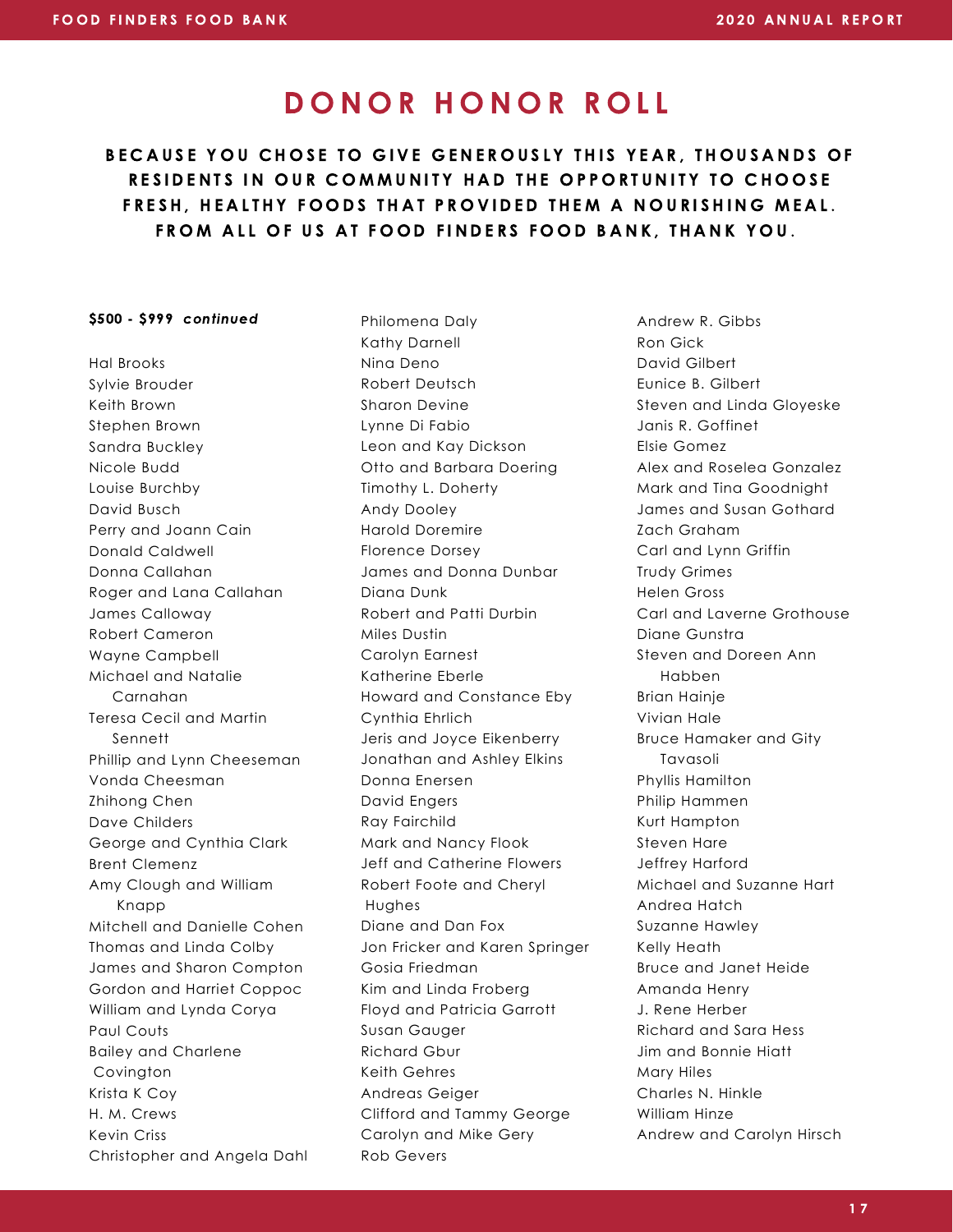BECAUSE YOU CHOSE TO GIVE GENEROUSLY THIS YEAR, THOUSANDS OF RESIDENTS IN OUR COMMUNITY HAD THE OPPORTUNITY TO CHOOSE FRESH. HEALTHY FOODS THAT PROVIDED THEM A NOURISHING MEAL. FROM ALL OF US AT FOOD FINDERS FOOD BANK, THANK YOU.

#### \$500 - \$999 continued

Hal Brooks Sylvie Brouder Keith Brown Stephen Brown Sandra Buckley Nicole Budd Louise Burchby David Busch Perry and Joann Cain Donald Caldwell Donna Callahan Roger and Lana Callahan James Calloway Robert Cameron Wayne Campbell Michael and Natalie Carnahan Teresa Cecil and Martin Sennett Phillip and Lynn Cheeseman Vonda Cheesman Zhihong Chen Dave Childers George and Cynthia Clark Brent Clemenz Amy Clough and William Knapp Mitchell and Danielle Cohen Thomas and Linda Colby James and Sharon Compton Gordon and Harriet Coppoc William and Lynda Corya Paul Couts Bailey and Charlene Covington Krista K Coy H. M. Crews Kevin Criss Christopher and Angela Dahl Philomena Daly Kathy Darnell Nina Deno Robert Deutsch Sharon Devine Lynne Di Fabio Leon and Kay Dickson Otto and Barbara Doering Timothy L. Doherty Andy Dooley Harold Doremire Florence Dorsey James and Donna Dunbar Diana Dunk Robert and Patti Durbin Miles Dustin Carolyn Earnest Katherine Eberle Howard and Constance Eby Cynthia Ehrlich Jeris and Joyce Eikenberry Jonathan and Ashley Elkins Donna Enersen David Engers Ray Fairchild Mark and Nancy Flook Jeff and Catherine Flowers Robert Foote and Cheryl Hughes Diane and Dan Fox Jon Fricker and Karen Springer Gosia Friedman Kim and Linda Froberg Floyd and Patricia Garrott Susan Gauger Richard Gbur Keith Gehres Andreas Geiger Clifford and Tammy George Carolyn and Mike Gery Rob Gevers

Andrew R. Gibbs Ron Gick David Gilbert Eunice B. Gilbert Steven and Linda Gloyeske Janis R. Goffinet Elsie Gomez Alex and Roselea Gonzalez Mark and Tina Goodnight James and Susan Gothard Zach Graham Carl and Lynn Griffin Trudy Grimes Helen Gross Carl and Laverne Grothouse Diane Gunstra Steven and Doreen Ann Habben Brian Hainje Vivian Hale Bruce Hamaker and Gity Tavasoli Phyllis Hamilton Philip Hammen Kurt Hampton Steven Hare Jeffrey Harford Michael and Suzanne Hart Andrea Hatch Suzanne Hawley Kelly Heath Bruce and Janet Heide Amanda Henry J. Rene Herber Richard and Sara Hess Jim and Bonnie Hiatt Mary Hiles Charles N. Hinkle William Hinze Andrew and Carolyn Hirsch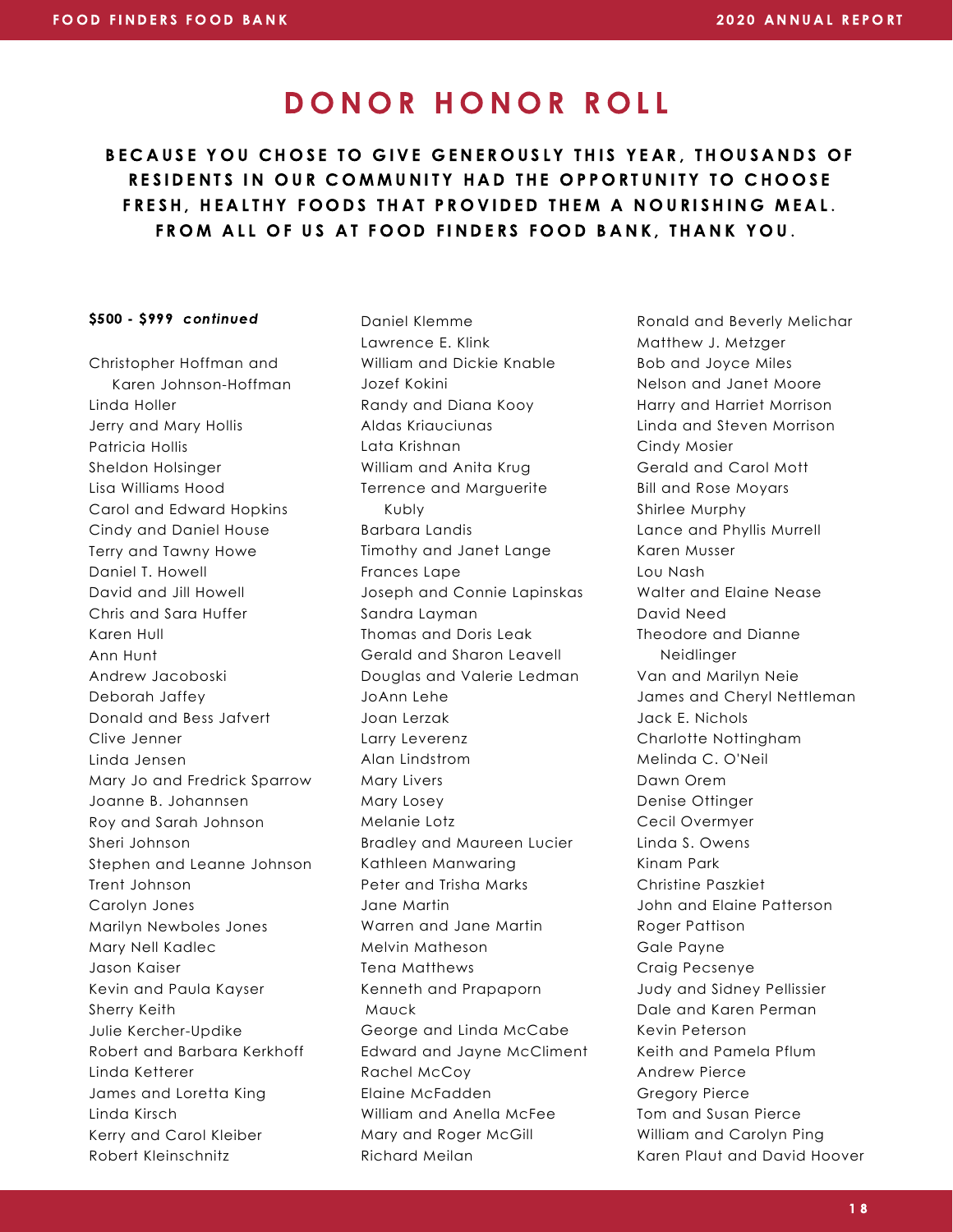BECAUSE YOU CHOSE TO GIVE GENEROUSLY THIS YEAR, THOUSANDS OF RESIDENTS IN OUR COMMUNITY HAD THE OPPORTUNITY TO CHOOSE FRESH. HEALTHY FOODS THAT PROVIDED THEM A NOURISHING MEAL. FROM ALL OF US AT FOOD FINDERS FOOD BANK, THANK YOU.

#### \$500 - \$999 continued

Christopher Hoffman and Karen Johnson-Hoffman Linda Holler Jerry and Mary Hollis Patricia Hollis Sheldon Holsinger Lisa Williams Hood Carol and Edward Hopkins Cindy and Daniel House Terry and Tawny Howe Daniel T. Howell David and Jill Howell Chris and Sara Huffer Karen Hull Ann Hunt Andrew Jacoboski Deborah Jaffey Donald and Bess Jafvert Clive Jenner Linda Jensen Mary Jo and Fredrick Sparrow Joanne B. Johannsen Roy and Sarah Johnson Sheri Johnson Stephen and Leanne Johnson Trent Johnson Carolyn Jones Marilyn Newboles Jones Mary Nell Kadlec Jason Kaiser Kevin and Paula Kayser Sherry Keith Julie Kercher-Updike Robert and Barbara Kerkhoff Linda Ketterer James and Loretta King Linda Kirsch Kerry and Carol Kleiber Robert Kleinschnitz

Daniel Klemme Lawrence E. Klink William and Dickie Knable Jozef Kokini Randy and Diana Kooy Aldas Kriauciunas Lata Krishnan William and Anita Krug Terrence and Marguerite Kubly Barbara Landis Timothy and Janet Lange Frances Lape Joseph and Connie Lapinskas Sandra Layman Thomas and Doris Leak Gerald and Sharon Leavell Douglas and Valerie Ledman JoAnn Lehe Joan Lerzak Larry Leverenz Alan Lindstrom Mary Livers Mary Losey Melanie Lotz Bradley and Maureen Lucier Kathleen Manwaring Peter and Trisha Marks Jane Martin Warren and Jane Martin Melvin Matheson Tena Matthews Kenneth and Prapaporn Mauck George and Linda McCabe Edward and Jayne McCliment Rachel McCoy Elaine McFadden William and Anella McFee Mary and Roger McGill Richard Meilan

Ronald and Beverly Melichar Matthew J. Metzger Bob and Joyce Miles Nelson and Janet Moore Harry and Harriet Morrison Linda and Steven Morrison Cindy Mosier Gerald and Carol Mott Bill and Rose Moyars Shirlee Murphy Lance and Phyllis Murrell Karen Musser Lou Nash Walter and Elaine Nease David Need Theodore and Dianne Neidlinger Van and Marilyn Neie James and Cheryl Nettleman Jack E. Nichols Charlotte Nottingham Melinda C. O'Neil Dawn Orem Denise Ottinger Cecil Overmyer Linda S. Owens Kinam Park Christine Paszkiet John and Elaine Patterson Roger Pattison Gale Payne Craig Pecsenye Judy and Sidney Pellissier Dale and Karen Perman Kevin Peterson Keith and Pamela Pflum Andrew Pierce Gregory Pierce Tom and Susan Pierce William and Carolyn Ping Karen Plaut and David Hoover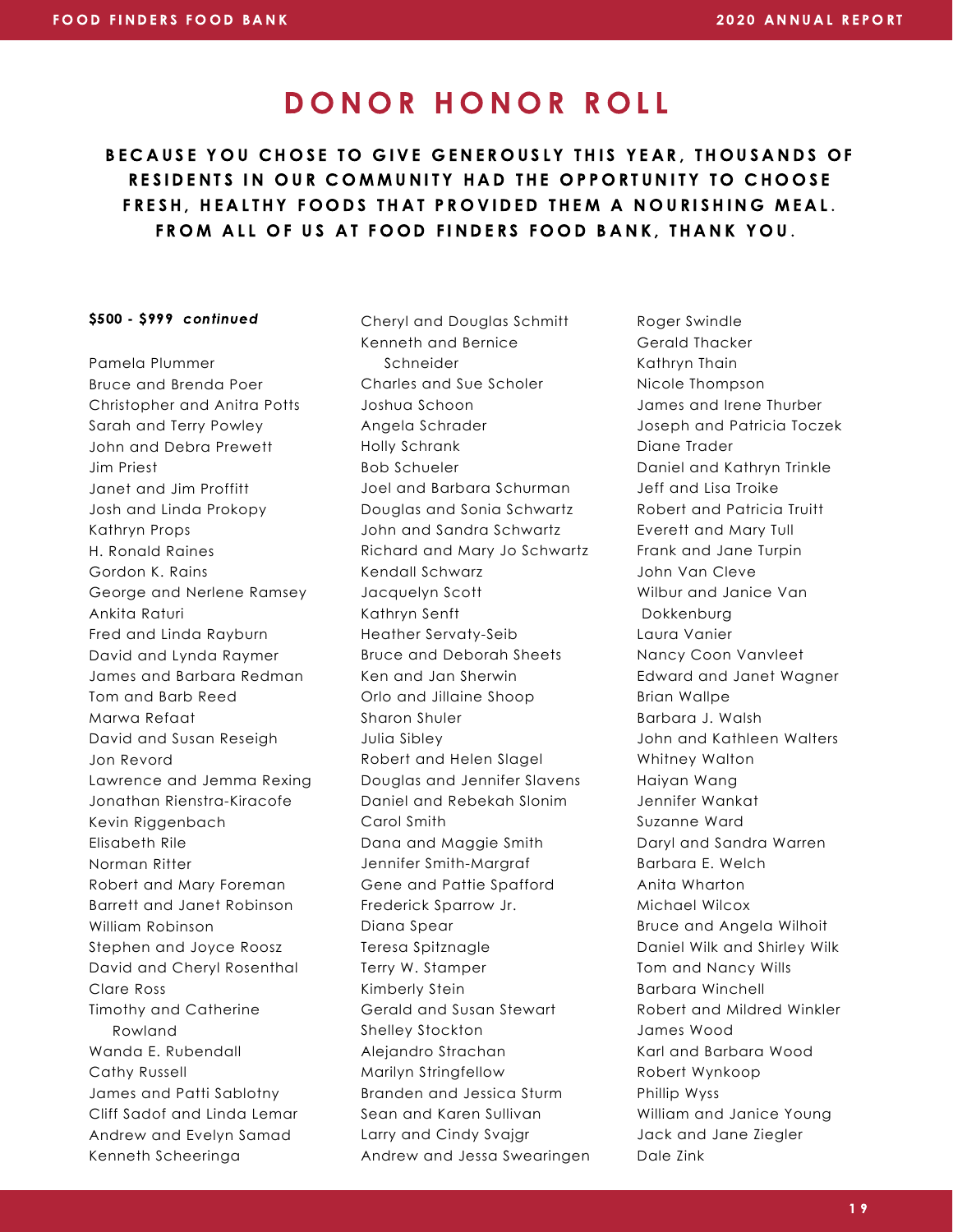BECAUSE YOU CHOSE TO GIVE GENEROUSLY THIS YEAR, THOUSANDS OF RESIDENTS IN OUR COMMUNITY HAD THE OPPORTUNITY TO CHOOSE FRESH, HEALTHY FOODS THAT PROVIDED THEM A NOURISHING MEAL. FROM ALL OF US AT FOOD FINDERS FOOD BANK, THANK YOU.

#### \$500 - \$999 continued

Pamela Plummer Bruce and Brenda Poer Christopher and Anitra Potts Sarah and Terry Powley John and Debra Prewett Jim Priest Janet and Jim Proffitt Josh and Linda Prokopy Kathryn Props H. Ronald Raines Gordon K. Rains George and Nerlene Ramsey Ankita Raturi Fred and Linda Rayburn David and Lynda Raymer James and Barbara Redman Tom and Barb Reed Marwa Refaat David and Susan Reseigh Jon Revord Lawrence and Jemma Rexing Jonathan Rienstra-Kiracofe Kevin Riggenbach Elisabeth Rile Norman Ritter Robert and Mary Foreman Barrett and Janet Robinson William Robinson Stephen and Joyce Roosz David and Cheryl Rosenthal Clare Ross Timothy and Catherine Rowland Wanda E. Rubendall Cathy Russell James and Patti Sablotny Cliff Sadof and Linda Lemar Andrew and Evelyn Samad Kenneth Scheeringa

Cheryl and Douglas Schmitt Kenneth and Bernice Schneider Charles and Sue Scholer Joshua Schoon Angela Schrader Holly Schrank Bob Schueler Joel and Barbara Schurman Douglas and Sonia Schwartz John and Sandra Schwartz Richard and Mary Jo Schwartz Kendall Schwarz Jacquelyn Scott Kathryn Senft Heather Servaty-Seib Bruce and Deborah Sheets Ken and Jan Sherwin Orlo and Jillaine Shoop Sharon Shuler Julia Sibley Robert and Helen Slagel Douglas and Jennifer Slavens Daniel and Rebekah Slonim Carol Smith Dana and Maggie Smith Jennifer Smith-Margraf Gene and Pattie Spafford Frederick Sparrow Jr. Diana Spear Teresa Spitznagle Terry W. Stamper Kimberly Stein Gerald and Susan Stewart Shelley Stockton Alejandro Strachan Marilyn Stringfellow Branden and Jessica Sturm Sean and Karen Sullivan Larry and Cindy Svajgr Andrew and Jessa Swearingen

Roger Swindle Gerald Thacker Kathryn Thain Nicole Thompson James and Irene Thurber Joseph and Patricia Toczek Diane Trader Daniel and Kathryn Trinkle Jeff and Lisa Troike Robert and Patricia Truitt Everett and Mary Tull Frank and Jane Turpin John Van Cleve Wilbur and Janice Van Dokkenburg Laura Vanier Nancy Coon Vanvleet Edward and Janet Wagner Brian Wallpe Barbara J. Walsh John and Kathleen Walters Whitney Walton Haiyan Wang Jennifer Wankat Suzanne Ward Daryl and Sandra Warren Barbara E. Welch Anita Wharton Michael Wilcox Bruce and Angela Wilhoit Daniel Wilk and Shirley Wilk Tom and Nancy Wills Barbara Winchell Robert and Mildred Winkler James Wood Karl and Barbara Wood Robert Wynkoop Phillip Wyss William and Janice Young Jack and Jane Ziegler Dale Zink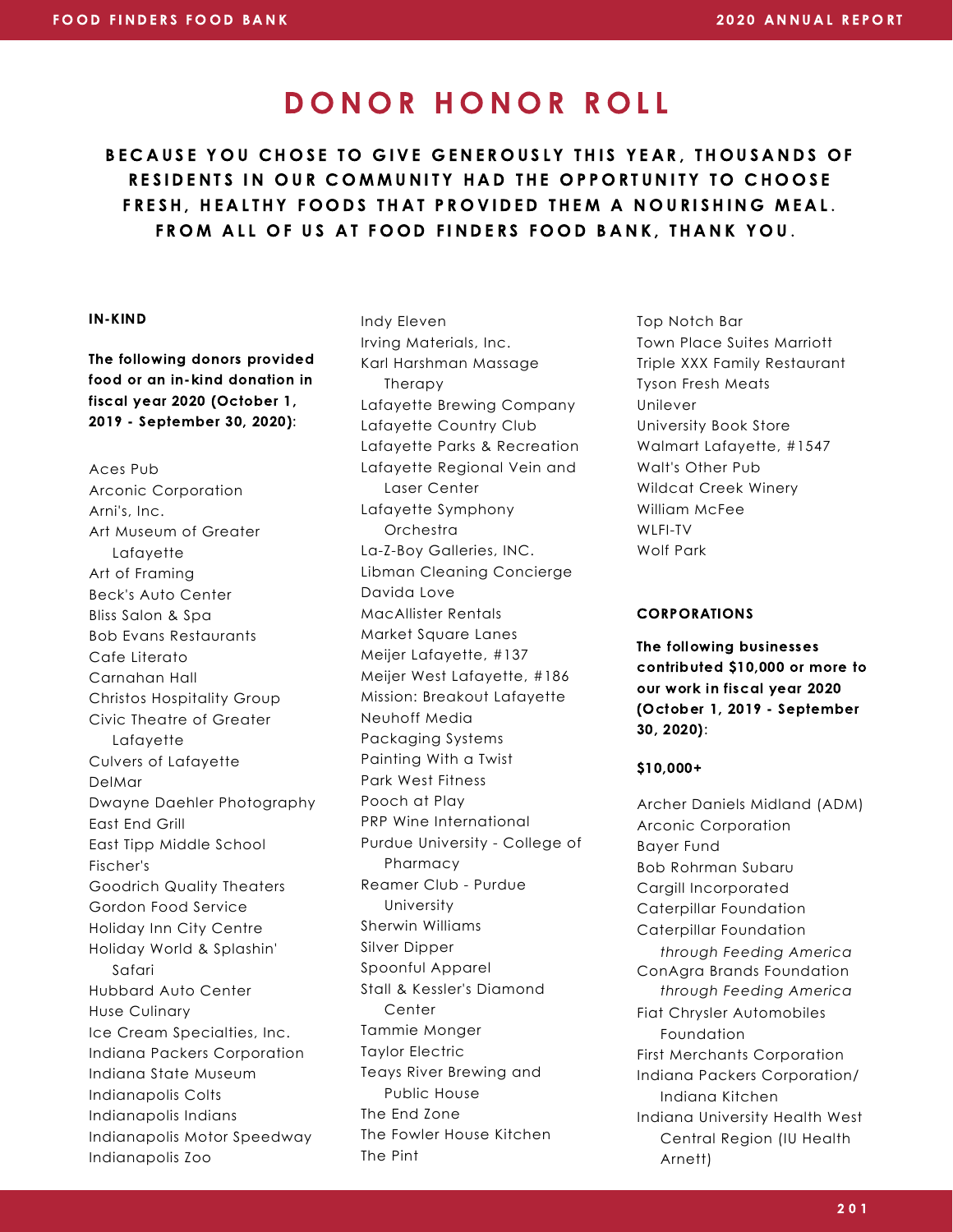BECAUSE YOU CHOSE TO GIVE GENEROUSLY THIS YEAR, THOUSANDS OF RESIDENTS IN OUR COMMUNITY HAD THE OPPORTUNITY TO CHOOSE FRESH, HEALTHY FOODS THAT PROVIDED THEM A NOURISHING MEAL. FROM ALL OF US AT FOOD FINDERS FOOD BANK, THANK YOU.

#### IN-KIND

The following donors provided food or an in-kind donation in fiscal year 2020 (October 1, 2019 - September 30, 2020):

Aces Pub Arconic Corporation Arni's, Inc. Art Museum of Greater Lafayette Art of Framing Beck's Auto Center Bliss Salon & Spa Bob Evans Restaurants Cafe Literato Carnahan Hall Christos Hospitality Group Civic Theatre of Greater Lafayette Culvers of Lafayette DelMar Dwayne Daehler Photography East End Grill East Tipp Middle School Fischer's Goodrich Quality Theaters Gordon Food Service Holiday Inn City Centre Holiday World & Splashin' Safari Hubbard Auto Center Huse Culinary Ice Cream Specialties, Inc. Indiana Packers Corporation Indiana State Museum Indianapolis Colts Indianapolis Indians Indianapolis Motor Speedway Indianapolis Zoo

Indy Eleven Irving Materials, Inc. Karl Harshman Massage Therapy Lafayette Brewing Company Lafayette Country Club Lafayette Parks & Recreation Lafayette Regional Vein and Laser Center Lafayette Symphony **Orchestra** La-Z-Boy Galleries, INC. Libman Cleaning Concierge Davida Love MacAllister Rentals Market Square Lanes Meijer Lafayette, #137 Meijer West Lafayette, #186 Mission: Breakout Lafayette Neuhoff Media Packaging Systems Painting With a Twist Park West Fitness Pooch at Play PRP Wine International Purdue University - College of Pharmacy Reamer Club - Purdue University Sherwin Williams Silver Dipper Spoonful Apparel Stall & Kessler's Diamond **Center** Tammie Monger Taylor Electric Teays River Brewing and Public House The End Zone The Fowler House Kitchen The Pint

Top Notch Bar Town Place Suites Marriott Triple XXX Family Restaurant Tyson Fresh Meats Unilever University Book Store Walmart Lafayette, #1547 Walt's Other Pub Wildcat Creek Winery William McFee WLFI-TV Wolf Park

#### CORPORATIONS

The following businesses contributed \$10,000 or more to our work in fiscal year 2020 (October 1, 2019 - September 30, 2020):

#### \$10,000+

Archer Daniels Midland (ADM) Arconic Corporation Bayer Fund Bob Rohrman Subaru Cargill Incorporated Caterpillar Foundation Caterpillar Foundation ConAgra Brands Foundation Fiat Chrysler Automobiles Foundation First Merchants Corporation Indiana Packers Corporation/ Indiana Kitchen Indiana University Health West Central Region (IU Health Arnett) *through Feeding America through Feeding America*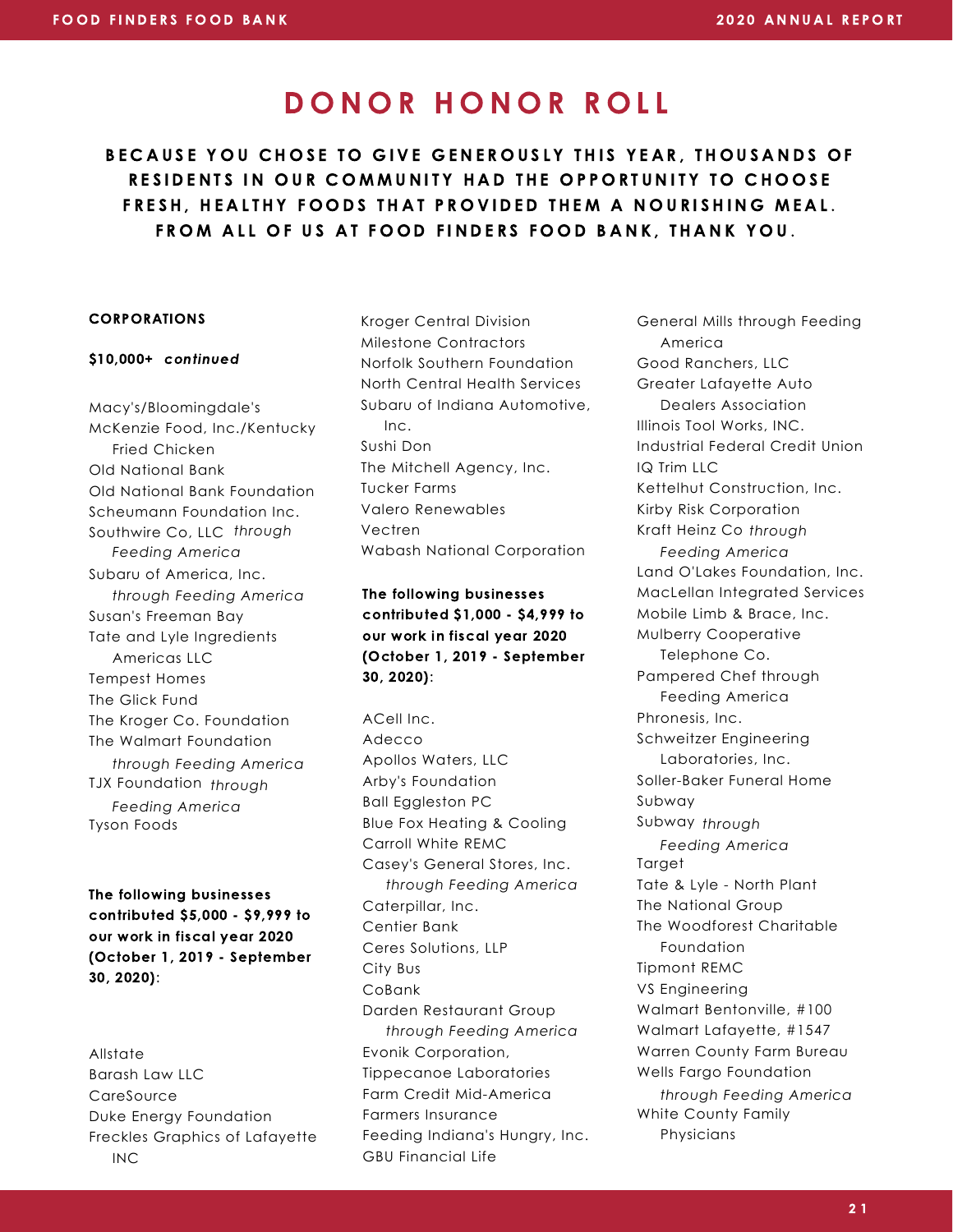BECAUSE YOU CHOSE TO GIVE GENEROUSLY THIS YEAR, THOUSANDS OF RESIDENTS IN OUR COMMUNITY HAD THE OPPORTUNITY TO CHOOSE FRESH. HEALTHY FOODS THAT PROVIDED THEM A NOURISHING MEAL. FROM ALL OF US AT FOOD FINDERS FOOD BANK, THANK YOU.

#### CORPORATIONS

#### \$10,000+ continued

Macy's/Bloomingdale's McKenzie Food, Inc./Kentucky Fried Chicken Old National Bank Old National Bank Foundation Scheumann Foundation Inc. Southwire Co, LLC *through* Subaru of America, Inc. Susan's Freeman Bay Tate and Lyle Ingredients Americas LLC Tempest Homes The Glick Fund The Kroger Co. Foundation The Walmart Foundation TJX Foundation *through* Tyson Foods *Feeding America through Feeding America through Feeding America Feeding America*

The following businesses contributed \$5,000 - \$9,999 to our work in fiscal year 2020 (October 1, 2019 - September 30, 2020):

Allstate Barash Law LLC **CareSource** Duke Energy Foundation Freckles Graphics of Lafayette INC

Kroger Central Division Milestone Contractors Norfolk Southern Foundation North Central Health Services Subaru of Indiana Automotive, Inc. Sushi Don The Mitchell Agency, Inc. Tucker Farms Valero Renewables Vectren Wabash National Corporation

The following businesses contributed \$1,000 - \$4,999 to our work in fiscal year 2020 (October 1, 2019 - September 30, 2020):

ACell Inc. Adecco Apollos Waters, LLC Arby's Foundation Ball Eggleston PC Blue Fox Heating & Cooling Carroll White REMC Casey's General Stores, Inc. Caterpillar, Inc. Centier Bank Ceres Solutions, LLP City Bus CoBank Darden Restaurant Group Evonik Corporation, Tippecanoe Laboratories Farm Credit Mid-America Farmers Insurance Feeding Indiana's Hungry, Inc. GBU Financial Life *through Feeding America through Feeding America*

General Mills through Feeding America Good Ranchers, LLC Greater Lafayette Auto Dealers Association Illinois Tool Works, INC. Industrial Federal Credit Union IQ Trim LLC Kettelhut Construction, Inc. Kirby Risk Corporation Kraft Heinz Co *through* Land O'Lakes Foundation, Inc. MacLellan Integrated Services Mobile Limb & Brace, Inc. Mulberry Cooperative Telephone Co. Pampered Chef through Feeding America Phronesis, Inc. Schweitzer Engineering Laboratories, Inc. Soller-Baker Funeral Home Subway Subway *through* **Target** Tate & Lyle - North Plant The National Group The Woodforest Charitable Foundation Tipmont REMC VS Engineering Walmart Bentonville, #100 Walmart Lafayette, #1547 Warren County Farm Bureau Wells Fargo Foundation White County Family Physicians *Feeding America Feeding America through Feeding America*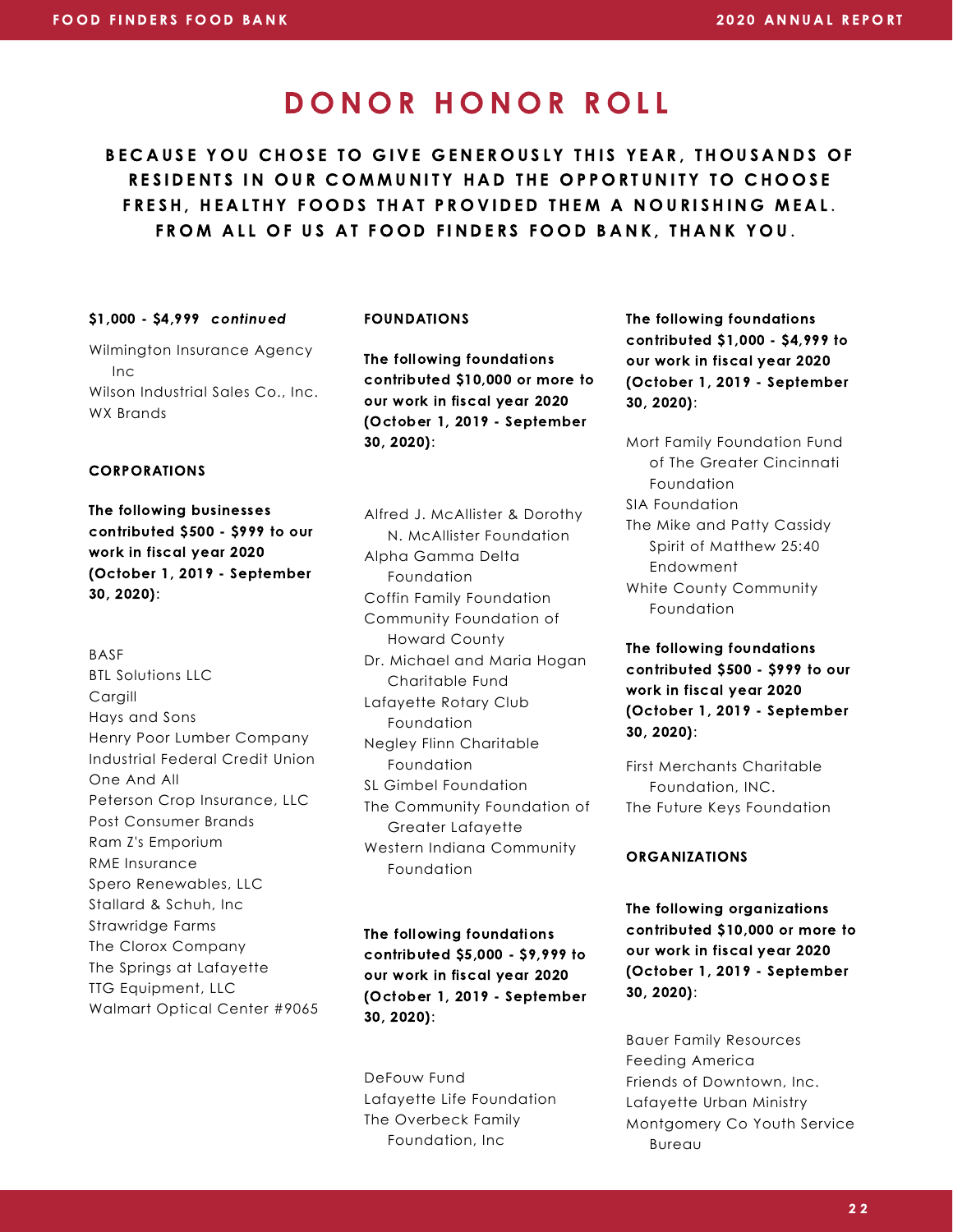BECAUSE YOU CHOSE TO GIVE GENEROUSLY THIS YEAR, THOUSANDS OF RESIDENTS IN OUR COMMUNITY HAD THE OPPORTUNITY TO CHOOSE FRESH. HEALTHY FOODS THAT PROVIDED THEM A NOURISHING MEAL. FROM ALL OF US AT FOOD FINDERS FOOD BANK, THANK YOU.

#### \$1,000 - \$4,999 continued

#### FOUNDATIONS

Wilmington Insurance Agency Inc Wilson Industrial Sales Co., Inc. WX Brands

The following foundations contributed \$10,000 or more to our work in fiscal year 2020 (October 1, 2019 - September 30, 2020):

#### CORPORATIONS

The following businesses contributed \$500 - \$999 to our work in fiscal year 2020 (October 1, 2019 - September 30, 2020):

BASF BTL Solutions LLC Cargill Hays and Sons Henry Poor Lumber Company Industrial Federal Credit Union One And All Peterson Crop Insurance, LLC Post Consumer Brands Ram Z's Emporium RME Insurance Spero Renewables, LLC Stallard & Schuh, Inc Strawridge Farms The Clorox Company The Springs at Lafayette TTG Equipment, LLC Walmart Optical Center #9065 Alfred J. McAllister & Dorothy N. McAllister Foundation Alpha Gamma Delta Foundation Coffin Family Foundation Community Foundation of Howard County Dr. Michael and Maria Hogan Charitable Fund Lafayette Rotary Club Foundation Negley Flinn Charitable Foundation SL Gimbel Foundation The Community Foundation of Greater Lafayette Western Indiana Community Foundation

The following foundations contributed \$5,000 - \$9,999 to our work in fiscal year 2020 (October 1, 2019 - September 30, 2020):

DeFouw Fund Lafayette Life Foundation The Overbeck Family Foundation, Inc

The following foundations contributed \$1,000 - \$4,999 to our work in fiscal year 2020 (October 1, 2019 - September 30, 2020):

Mort Family Foundation Fund of The Greater Cincinnati Foundation SIA Foundation The Mike and Patty Cassidy Spirit of Matthew 25:40 Endowment White County Community Foundation

The following foundations contributed \$500 - \$999 to our work in fiscal year 2020 (October 1, 2019 - September 30, 2020):

First Merchants Charitable Foundation, INC. The Future Keys Foundation

#### ORGANIZATIONS

The following organizations contributed \$10,000 or more to our work in fiscal year 2020 (October 1, 2019 - September 30, 2020):

Bauer Family Resources Feeding America Friends of Downtown, Inc. Lafayette Urban Ministry Montgomery Co Youth Service Bureau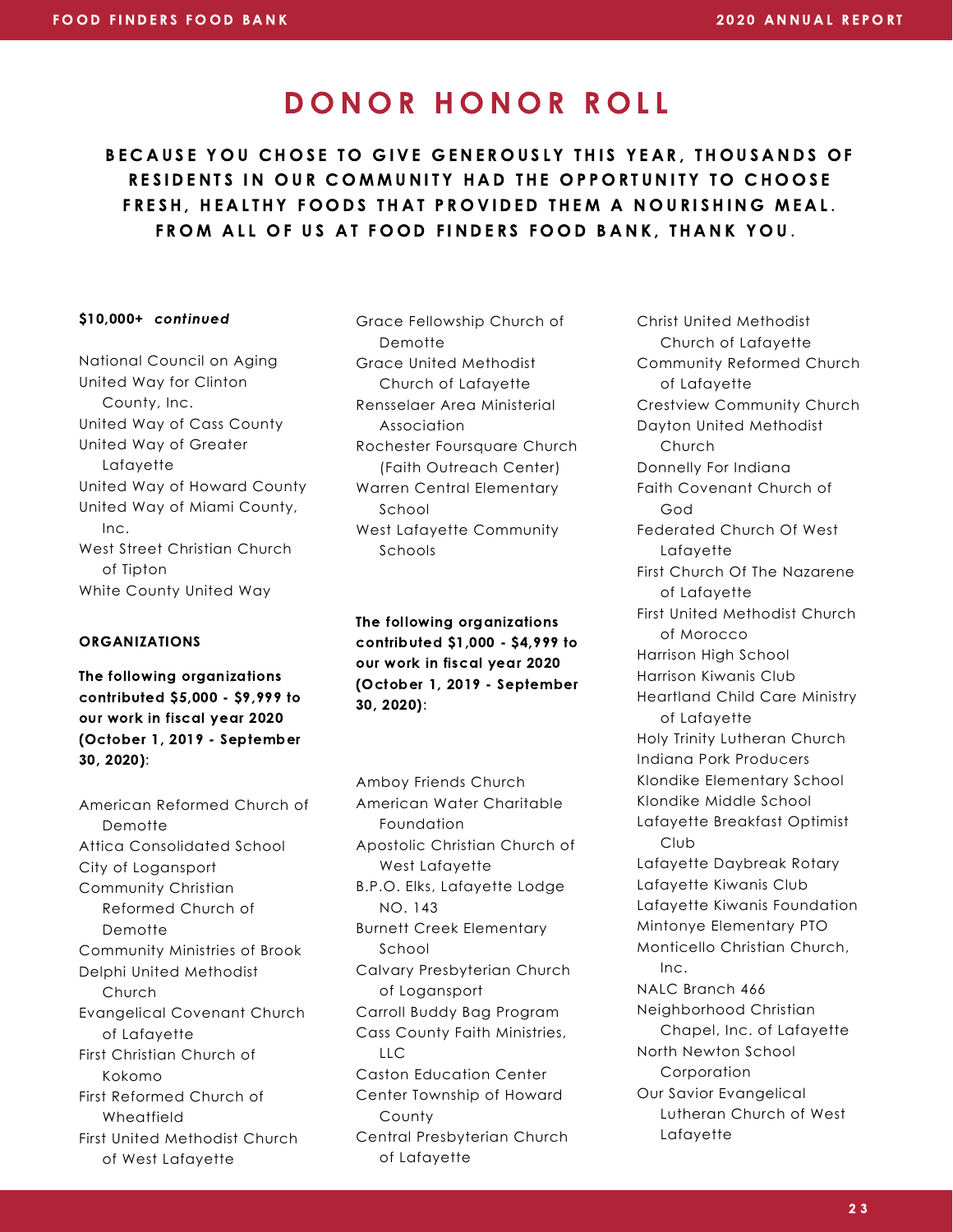BECAUSE YOU CHOSE TO GIVE GENEROUSLY THIS YEAR, THOUSANDS OF RESIDENTS IN OUR COMMUNITY HAD THE OPPORTUNITY TO CHOOSE FRESH. HEALTHY FOODS THAT PROVIDED THEM A NOURISHING MEAL. FROM ALL OF US AT FOOD FINDERS FOOD BANK, THANK YOU.

National Council on Aging United Way for Clinton County, Inc. United Way of Cass County United Way of Greater Lafayette United Way of Howard County United Way of Miami County, Inc. West Street Christian Church of Tipton White County United Way

#### **ORGANIZATIONS**

The following organizations contributed \$5,000 - \$9,999 to our work in fiscal year 2020 (October 1, 2019 - September 30, 2020):

American Reformed Church of **Demotte** Attica Consolidated School City of Logansport Community Christian Reformed Church of Demotte Community Ministries of Brook Delphi United Methodist Church Evangelical Covenant Church of Lafayette First Christian Church of Kokomo First Reformed Church of Wheatfield First United Methodist Church of West Lafayette

\$10,000+ continued Grace Fellowship Church of Demotte Grace United Methodist Church of Lafayette Rensselaer Area Ministerial Association Rochester Foursquare Church (Faith Outreach Center) Warren Central Elementary School West Lafayette Community Schools

> The following organizations contributed \$1,000 - \$4,999 to our work in fiscal year 2020 (October 1, 2019 - September 30, 2020):

Amboy Friends Church American Water Charitable Foundation Apostolic Christian Church of West Lafayette B.P.O. Elks, Lafayette Lodge NO. 143 Burnett Creek Elementary School Calvary Presbyterian Church of Logansport Carroll Buddy Bag Program Cass County Faith Ministries,  $\overline{L}$ Caston Education Center Center Township of Howard County Central Presbyterian Church of Lafayette

Christ United Methodist Church of Lafayette Community Reformed Church of Lafayette Crestview Community Church Dayton United Methodist Church Donnelly For Indiana Faith Covenant Church of God Federated Church Of West Lafayette First Church Of The Nazarene of Lafayette First United Methodist Church of Morocco Harrison High School Harrison Kiwanis Club Heartland Child Care Ministry of Lafayette Holy Trinity Lutheran Church Indiana Pork Producers Klondike Elementary School Klondike Middle School Lafayette Breakfast Optimist Club Lafayette Daybreak Rotary Lafayette Kiwanis Club Lafayette Kiwanis Foundation Mintonye Elementary PTO Monticello Christian Church, Inc. NALC Branch 466 Neighborhood Christian Chapel, Inc. of Lafayette North Newton School Corporation Our Savior Evangelical Lutheran Church of West Lafayette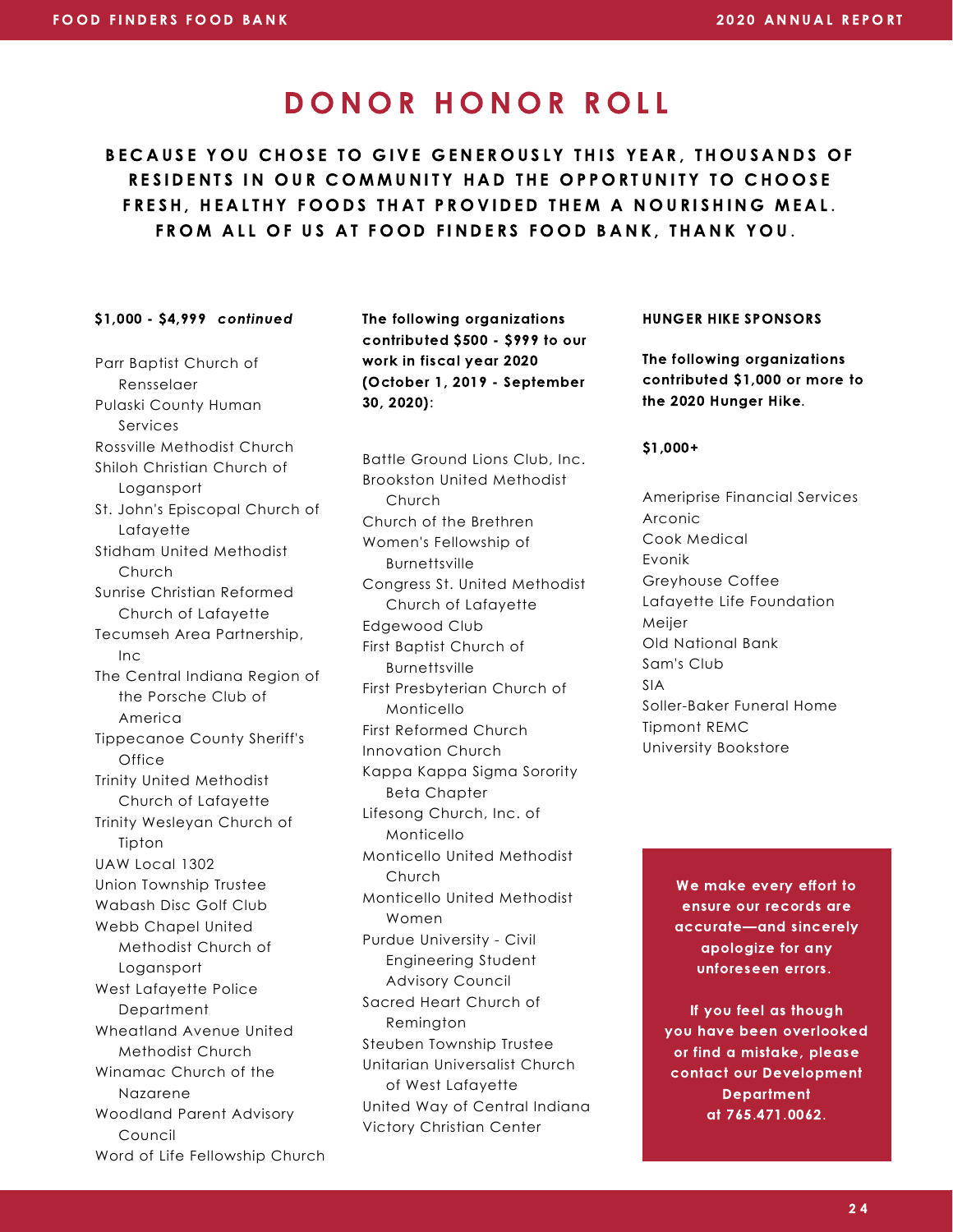BECAUSE YOU CHOSE TO GIVE GENEROUSLY THIS YEAR, THOUSANDS OF RESIDENTS IN OUR COMMUNITY HAD THE OPPORTUNITY TO CHOOSE FRESH. HEALTHY FOODS THAT PROVIDED THEM A NOURISHING MEAL. FROM ALL OF US AT FOOD FINDERS FOOD BANK, THANK YOU.

#### \$1,000 - \$4,999 continued

Parr Baptist Church of Rensselaer Pulaski County Human Services Rossville Methodist Church Shiloh Christian Church of Logansport St. John's Episcopal Church of Lafayette Stidham United Methodist Church Sunrise Christian Reformed Church of Lafayette Tecumseh Area Partnership, Inc The Central Indiana Region of the Porsche Club of America Tippecanoe County Sheriff's Office Trinity United Methodist Church of Lafayette Trinity Wesleyan Church of Tipton UAW Local 1302 Union Township Trustee Wabash Disc Golf Club Webb Chapel United Methodist Church of Logansport West Lafayette Police Department Wheatland Avenue United Methodist Church Winamac Church of the Nazarene Woodland Parent Advisory Council Word of Life Fellowship Church The following organizations contributed \$500 - \$999 to our work in fiscal year 2020 (October 1, 2019 - September 30, 2020):

Monticello United Methodist Church Monticello United Methodist Women Purdue University - Civil Engineering Student Advisory Council Sacred Heart Church of Remington Steuben Township Trustee Unitarian Universalist Church of West Lafayette United Way of Central Indiana Victory Christian Center Battle Ground Lions Club, Inc. Brookston United Methodist Church Church of the Brethren Women's Fellowship of **Burnettsville** Congress St. United Methodist Church of Lafayette Edgewood Club First Baptist Church of Burnettsville First Presbyterian Church of Monticello First Reformed Church Innovation Church Kappa Kappa Sigma Sorority Beta Chapter Lifesong Church, Inc. of Monticello

HUNGER HIKE SPONSORS

The following organizations contributed \$1,000 or more to the 2020 Hunger Hike.

#### \$1,000+

Ameriprise Financial Services Arconic Cook Medical Evonik Greyhouse Coffee Lafayette Life Foundation Meijer Old National Bank Sam's Club SIA Soller-Baker Funeral Home Tipmont REMC University Bookstore

> We make every effort to ensure our records are accurate—and sincerely apologize for any unforeseen errors.

If you feel as though you have been overlooked or find a mistake, please contact our Development **Department** at 765.471.0062.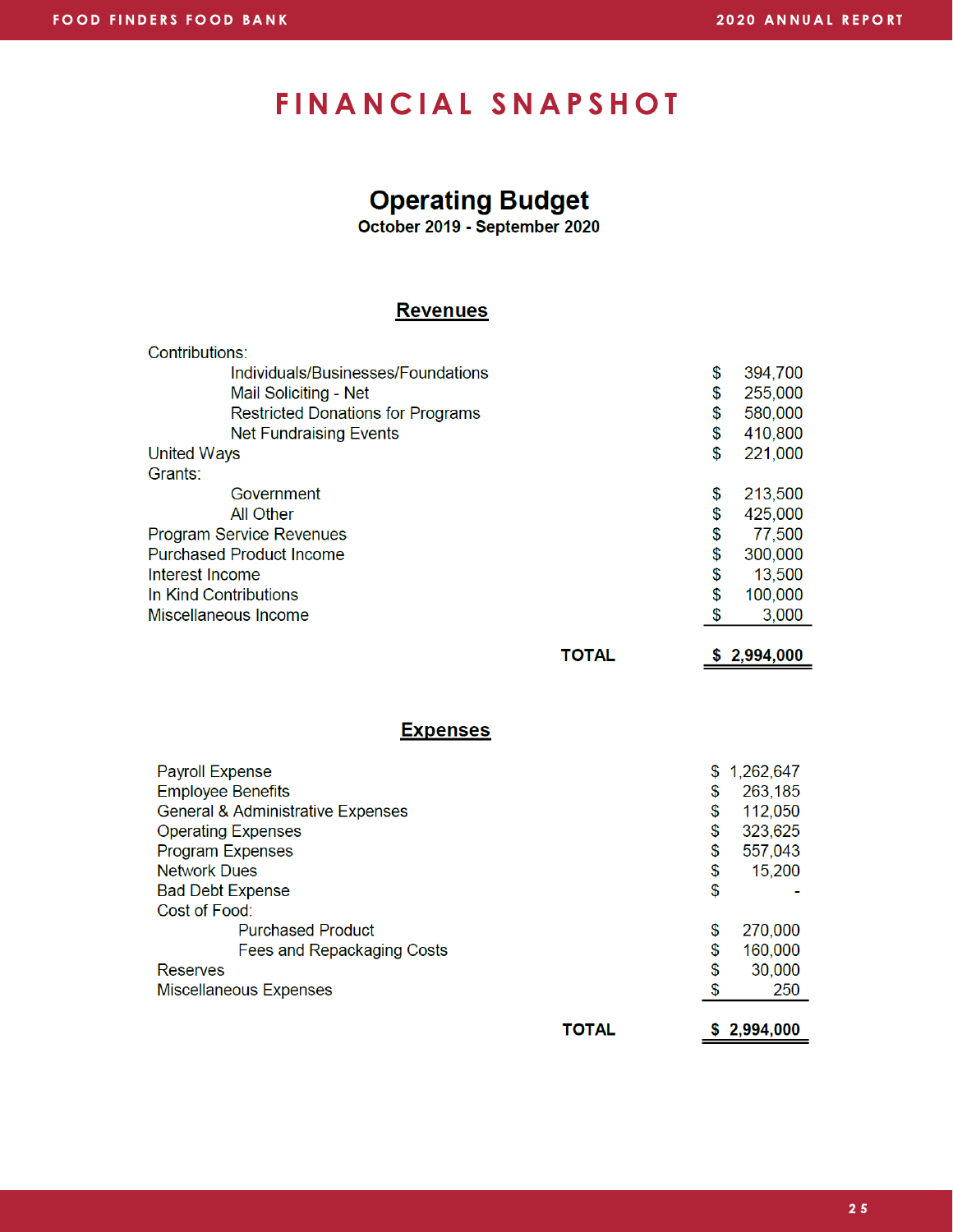### FINANCIAL SNAPSHOT

### **Operating Budget**

October 2019 - September 2020

#### **Revenues**

|              | \$ | 394,700     |
|--------------|----|-------------|
|              | \$ | 255,000     |
|              | \$ | 580,000     |
|              | \$ | 410,800     |
|              | \$ | 221,000     |
|              |    |             |
|              | \$ | 213,500     |
|              | \$ | 425,000     |
|              | \$ | 77,500      |
|              | \$ | 300,000     |
|              | \$ | 13,500      |
|              | \$ | 100,000     |
|              | S  | 3,000       |
| <b>TOTAL</b> |    | \$2,994,000 |
|              |    |             |
|              |    |             |

#### **Expenses**

| <b>Payroll Expense</b>                       | \$ | 1,262,647 |
|----------------------------------------------|----|-----------|
| <b>Employee Benefits</b>                     | \$ | 263,185   |
| <b>General &amp; Administrative Expenses</b> | \$ | 112,050   |
| <b>Operating Expenses</b>                    | \$ | 323,625   |
| <b>Program Expenses</b>                      | \$ | 557,043   |
| <b>Network Dues</b>                          | \$ | 15,200    |
| <b>Bad Debt Expense</b>                      | \$ |           |
| Cost of Food:                                |    |           |
| <b>Purchased Product</b>                     | \$ | 270,000   |
| Fees and Repackaging Costs                   | \$ | 160,000   |
| <b>Reserves</b>                              | \$ | 30,000    |
| <b>Miscellaneous Expenses</b>                |    | 250       |
| <b>TOTAL</b>                                 | S. | 2,994,000 |